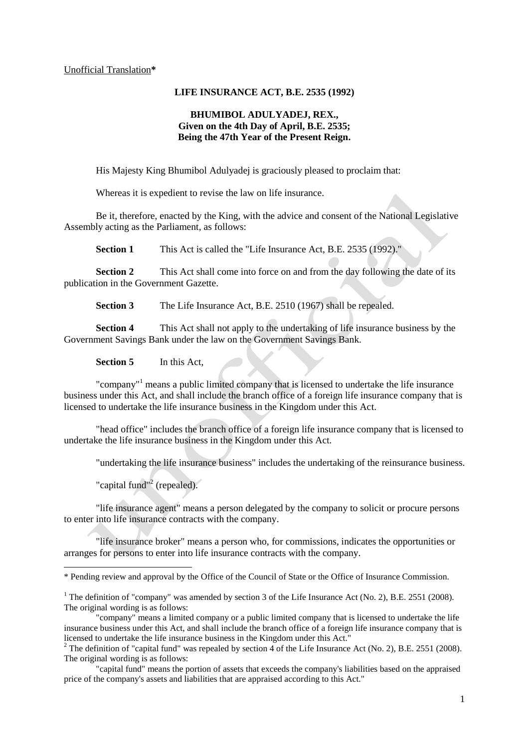#### Unofficial Translation**\***

### **LIFE INSURANCE ACT, B.E. 2535 (1992)**

## **BHUMIBOL ADULYADEJ, REX., Given on the 4th Day of April, B.E. 2535; Being the 47th Year of the Present Reign.**

His Majesty King Bhumibol Adulyadej is graciously pleased to proclaim that:

Whereas it is expedient to revise the law on life insurance.

Be it, therefore, enacted by the King, with the advice and consent of the National Legislative Assembly acting as the Parliament, as follows:

**Section 1** This Act is called the "Life Insurance Act, B.E. 2535 (1992)."

**Section 2** This Act shall come into force on and from the day following the date of its publication in the Government Gazette.

**Section 3** The Life Insurance Act, B.E. 2510 (1967) shall be repealed.

**Section 4** This Act shall not apply to the undertaking of life insurance business by the Government Savings Bank under the law on the Government Savings Bank.

**Section 5** In this Act,

"company"<sup>1</sup> means a public limited company that is licensed to undertake the life insurance business under this Act, and shall include the branch office of a foreign life insurance company that is licensed to undertake the life insurance business in the Kingdom under this Act.

"head office" includes the branch office of a foreign life insurance company that is licensed to undertake the life insurance business in the Kingdom under this Act.

"undertaking the life insurance business" includes the undertaking of the reinsurance business.

"capital fund"<sup>2</sup> (repealed).

1

"life insurance agent" means a person delegated by the company to solicit or procure persons to enter into life insurance contracts with the company.

"life insurance broker" means a person who, for commissions, indicates the opportunities or arranges for persons to enter into life insurance contracts with the company.

<sup>\*</sup> Pending review and approval by the Office of the Council of State or the Office of Insurance Commission.

<sup>&</sup>lt;sup>1</sup> The definition of "company" was amended by section 3 of the Life Insurance Act (No. 2), B.E. 2551 (2008). The original wording is as follows:

<sup>&</sup>quot;company" means a limited company or a public limited company that is licensed to undertake the life insurance business under this Act, and shall include the branch office of a foreign life insurance company that is licensed to undertake the life insurance business in the Kingdom under this Act."

<sup>&</sup>lt;sup>2</sup> The definition of "capital fund" was repealed by section 4 of the Life Insurance Act (No. 2), B.E. 2551 (2008). The original wording is as follows:

<sup>&</sup>quot;capital fund" means the portion of assets that exceeds the company's liabilities based on the appraised price of the company's assets and liabilities that are appraised according to this Act."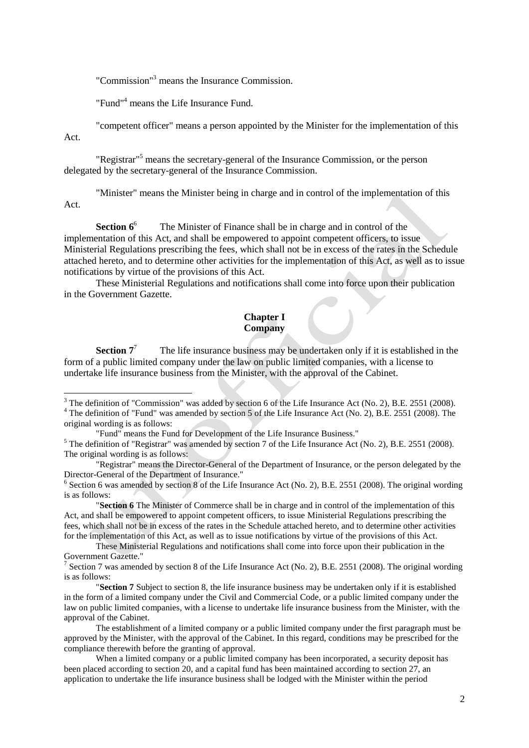"Commission"<sup>3</sup> means the Insurance Commission.

"Fund"<sup>4</sup> means the Life Insurance Fund.

"competent officer" means a person appointed by the Minister for the implementation of this Act.

"Registrar"<sup>5</sup> means the secretary-general of the Insurance Commission, or the person delegated by the secretary-general of the Insurance Commission.

"Minister" means the Minister being in charge and in control of the implementation of this Act.

**Section**  $6^6$  The Minister of Finance shall be in charge and in control of the implementation of this Act, and shall be empowered to appoint competent officers, to issue Ministerial Regulations prescribing the fees, which shall not be in excess of the rates in the Schedule attached hereto, and to determine other activities for the implementation of this Act, as well as to issue notifications by virtue of the provisions of this Act.

These Ministerial Regulations and notifications shall come into force upon their publication in the Government Gazette.

## **Chapter I Company**

**Section**  $7^7$  The life insurance business may be undertaken only if it is established in the form of a public limited company under the law on public limited companies, with a license to undertake life insurance business from the Minister, with the approval of the Cabinet.

<sup>4</sup> The definition of "Fund" was amended by section 5 of the Life Insurance Act (No. 2), B.E. 2551 (2008). The original wording is as follows:

<sup>&</sup>lt;sup>3</sup> The definition of "Commission" was added by section 6 of the Life Insurance Act (No. 2), B.E. 2551 (2008).

<sup>&</sup>quot;Fund" means the Fund for Development of the Life Insurance Business."

<sup>&</sup>lt;sup>5</sup> The definition of "Registrar" was amended by section 7 of the Life Insurance Act (No. 2), B.E. 2551 (2008). The original wording is as follows:

<sup>&</sup>quot;Registrar" means the Director-General of the Department of Insurance, or the person delegated by the Director-General of the Department of Insurance."

<sup>&</sup>lt;sup>6</sup> Section 6 was amended by section 8 of the Life Insurance Act (No. 2), B.E. 2551 (2008). The original wording is as follows:

<sup>&</sup>quot;**Section 6** The Minister of Commerce shall be in charge and in control of the implementation of this Act, and shall be empowered to appoint competent officers, to issue Ministerial Regulations prescribing the fees, which shall not be in excess of the rates in the Schedule attached hereto, and to determine other activities for the implementation of this Act, as well as to issue notifications by virtue of the provisions of this Act.

These Ministerial Regulations and notifications shall come into force upon their publication in the Government Gazette."

<sup>&</sup>lt;sup>7</sup> Section 7 was amended by section 8 of the Life Insurance Act (No. 2), B.E. 2551 (2008). The original wording is as follows:

<sup>&</sup>quot;**Section 7** Subject to section 8, the life insurance business may be undertaken only if it is established in the form of a limited company under the Civil and Commercial Code, or a public limited company under the law on public limited companies, with a license to undertake life insurance business from the Minister, with the approval of the Cabinet.

The establishment of a limited company or a public limited company under the first paragraph must be approved by the Minister, with the approval of the Cabinet. In this regard, conditions may be prescribed for the compliance therewith before the granting of approval.

When a limited company or a public limited company has been incorporated, a security deposit has been placed according to section 20, and a capital fund has been maintained according to section 27, an application to undertake the life insurance business shall be lodged with the Minister within the period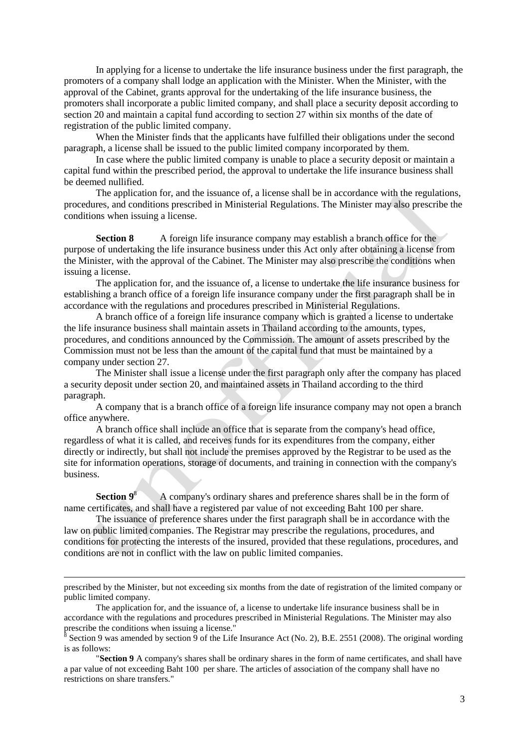In applying for a license to undertake the life insurance business under the first paragraph, the promoters of a company shall lodge an application with the Minister. When the Minister, with the approval of the Cabinet, grants approval for the undertaking of the life insurance business, the promoters shall incorporate a public limited company, and shall place a security deposit according to section 20 and maintain a capital fund according to section 27 within six months of the date of registration of the public limited company.

When the Minister finds that the applicants have fulfilled their obligations under the second paragraph, a license shall be issued to the public limited company incorporated by them.

In case where the public limited company is unable to place a security deposit or maintain a capital fund within the prescribed period, the approval to undertake the life insurance business shall be deemed nullified.

The application for, and the issuance of, a license shall be in accordance with the regulations, procedures, and conditions prescribed in Ministerial Regulations. The Minister may also prescribe the conditions when issuing a license.

**Section 8** A foreign life insurance company may establish a branch office for the purpose of undertaking the life insurance business under this Act only after obtaining a license from the Minister, with the approval of the Cabinet. The Minister may also prescribe the conditions when issuing a license.

The application for, and the issuance of, a license to undertake the life insurance business for establishing a branch office of a foreign life insurance company under the first paragraph shall be in accordance with the regulations and procedures prescribed in Ministerial Regulations.

A branch office of a foreign life insurance company which is granted a license to undertake the life insurance business shall maintain assets in Thailand according to the amounts, types, procedures, and conditions announced by the Commission. The amount of assets prescribed by the Commission must not be less than the amount of the capital fund that must be maintained by a company under section 27.

The Minister shall issue a license under the first paragraph only after the company has placed a security deposit under section 20, and maintained assets in Thailand according to the third paragraph.

A company that is a branch office of a foreign life insurance company may not open a branch office anywhere.

A branch office shall include an office that is separate from the company's head office, regardless of what it is called, and receives funds for its expenditures from the company, either directly or indirectly, but shall not include the premises approved by the Registrar to be used as the site for information operations, storage of documents, and training in connection with the company's business.

**Section**  $9^8$  A company's ordinary shares and preference shares shall be in the form of name certificates, and shall have a registered par value of not exceeding Baht 100 per share.

The issuance of preference shares under the first paragraph shall be in accordance with the law on public limited companies. The Registrar may prescribe the regulations, procedures, and conditions for protecting the interests of the insured, provided that these regulations, procedures, and conditions are not in conflict with the law on public limited companies.

-

"**Section 9** A company's shares shall be ordinary shares in the form of name certificates, and shall have a par value of not exceeding Baht 100 per share. The articles of association of the company shall have no restrictions on share transfers."

prescribed by the Minister, but not exceeding six months from the date of registration of the limited company or public limited company.

The application for, and the issuance of, a license to undertake life insurance business shall be in accordance with the regulations and procedures prescribed in Ministerial Regulations. The Minister may also prescribe the conditions when issuing a license."<br><sup>8</sup> Section 0 was amanded by section 0 of the Life

Section 9 was amended by section 9 of the Life Insurance Act (No. 2), B.E. 2551 (2008). The original wording is as follows: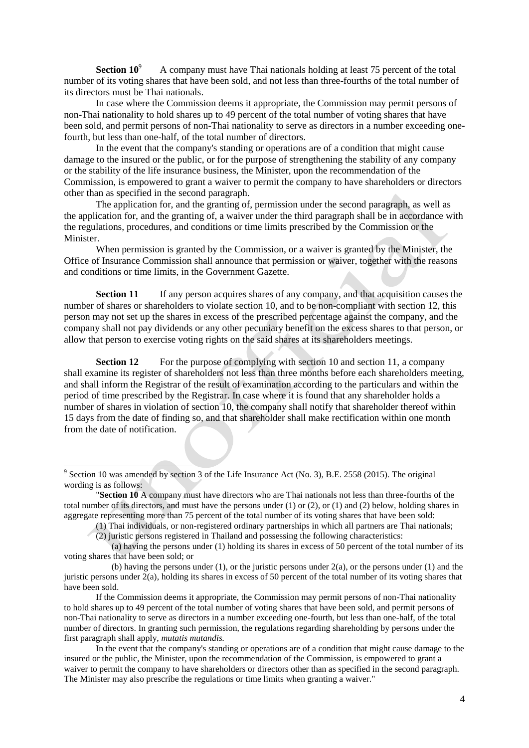**Section 10<sup>9</sup>** A company must have Thai nationals holding at least 75 percent of the total number of its voting shares that have been sold, and not less than three-fourths of the total number of its directors must be Thai nationals.

In case where the Commission deems it appropriate, the Commission may permit persons of non-Thai nationality to hold shares up to 49 percent of the total number of voting shares that have been sold, and permit persons of non-Thai nationality to serve as directors in a number exceeding onefourth, but less than one-half, of the total number of directors.

In the event that the company's standing or operations are of a condition that might cause damage to the insured or the public, or for the purpose of strengthening the stability of any company or the stability of the life insurance business, the Minister, upon the recommendation of the Commission, is empowered to grant a waiver to permit the company to have shareholders or directors other than as specified in the second paragraph.

The application for, and the granting of, permission under the second paragraph, as well as the application for, and the granting of, a waiver under the third paragraph shall be in accordance with the regulations, procedures, and conditions or time limits prescribed by the Commission or the **Minister** 

When permission is granted by the Commission, or a waiver is granted by the Minister, the Office of Insurance Commission shall announce that permission or waiver, together with the reasons and conditions or time limits, in the Government Gazette.

**Section 11** If any person acquires shares of any company, and that acquisition causes the number of shares or shareholders to violate section 10, and to be non-compliant with section 12, this person may not set up the shares in excess of the prescribed percentage against the company, and the company shall not pay dividends or any other pecuniary benefit on the excess shares to that person, or allow that person to exercise voting rights on the said shares at its shareholders meetings.

**Section 12** For the purpose of complying with section 10 and section 11, a company shall examine its register of shareholders not less than three months before each shareholders meeting, and shall inform the Registrar of the result of examination according to the particulars and within the period of time prescribed by the Registrar. In case where it is found that any shareholder holds a number of shares in violation of section 10, the company shall notify that shareholder thereof within 15 days from the date of finding so, and that shareholder shall make rectification within one month from the date of notification.

<sup>&</sup>lt;sup>9</sup> Section 10 was amended by section 3 of the Life Insurance Act (No. 3), B.E. 2558 (2015). The original wording is as follows:

<sup>&</sup>quot;**Section 10** A company must have directors who are Thai nationals not less than three-fourths of the total number of its directors, and must have the persons under (1) or (2), or (1) and (2) below, holding shares in aggregate representing more than 75 percent of the total number of its voting shares that have been sold:

<sup>(1)</sup> Thai individuals, or non-registered ordinary partnerships in which all partners are Thai nationals;

<sup>(2)</sup> juristic persons registered in Thailand and possessing the following characteristics:

 <sup>(</sup>a) having the persons under (1) holding its shares in excess of 50 percent of the total number of its voting shares that have been sold; or

 <sup>(</sup>b) having the persons under (1), or the juristic persons under 2(a), or the persons under (1) and the juristic persons under  $2(a)$ , holding its shares in excess of 50 percent of the total number of its voting shares that have been sold.

If the Commission deems it appropriate, the Commission may permit persons of non-Thai nationality to hold shares up to 49 percent of the total number of voting shares that have been sold, and permit persons of non-Thai nationality to serve as directors in a number exceeding one-fourth, but less than one-half, of the total number of directors. In granting such permission, the regulations regarding shareholding by persons under the first paragraph shall apply, *mutatis mutandis.*

In the event that the company's standing or operations are of a condition that might cause damage to the insured or the public, the Minister, upon the recommendation of the Commission, is empowered to grant a waiver to permit the company to have shareholders or directors other than as specified in the second paragraph. The Minister may also prescribe the regulations or time limits when granting a waiver."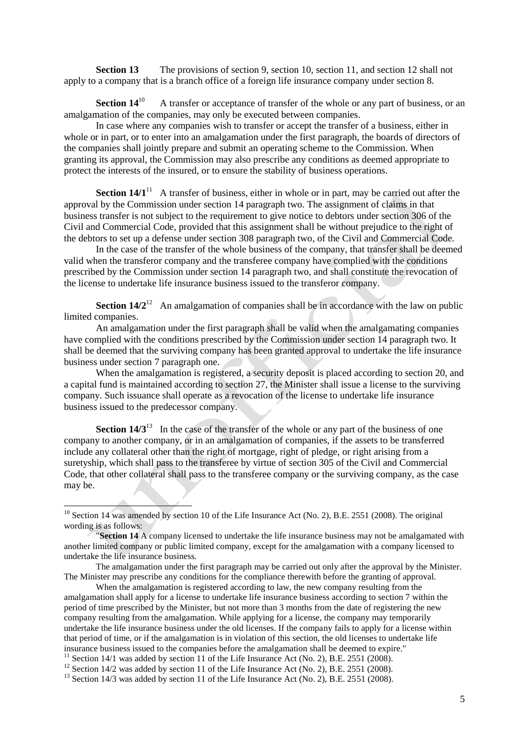**Section 13** The provisions of section 9, section 10, section 11, and section 12 shall not apply to a company that is a branch office of a foreign life insurance company under section 8.

**Section 14**<sup>10</sup> A transfer or acceptance of transfer of the whole or any part of business, or an amalgamation of the companies, may only be executed between companies.

In case where any companies wish to transfer or accept the transfer of a business, either in whole or in part, or to enter into an amalgamation under the first paragraph, the boards of directors of the companies shall jointly prepare and submit an operating scheme to the Commission. When granting its approval, the Commission may also prescribe any conditions as deemed appropriate to protect the interests of the insured, or to ensure the stability of business operations.

**Section 14/1**<sup>11</sup> A transfer of business, either in whole or in part, may be carried out after the approval by the Commission under section 14 paragraph two. The assignment of claims in that business transfer is not subject to the requirement to give notice to debtors under section 306 of the Civil and Commercial Code, provided that this assignment shall be without prejudice to the right of the debtors to set up a defense under section 308 paragraph two, of the Civil and Commercial Code.

In the case of the transfer of the whole business of the company, that transfer shall be deemed valid when the transferor company and the transferee company have complied with the conditions prescribed by the Commission under section 14 paragraph two, and shall constitute the revocation of the license to undertake life insurance business issued to the transferor company.

**Section 14/2<sup>12</sup>** An amalgamation of companies shall be in accordance with the law on public limited companies.

An amalgamation under the first paragraph shall be valid when the amalgamating companies have complied with the conditions prescribed by the Commission under section 14 paragraph two. It shall be deemed that the surviving company has been granted approval to undertake the life insurance business under section 7 paragraph one.

When the amalgamation is registered, a security deposit is placed according to section 20, and a capital fund is maintained according to section 27, the Minister shall issue a license to the surviving company. Such issuance shall operate as a revocation of the license to undertake life insurance business issued to the predecessor company.

**Section 14/3**<sup>13</sup> In the case of the transfer of the whole or any part of the business of one company to another company, or in an amalgamation of companies, if the assets to be transferred include any collateral other than the right of mortgage, right of pledge, or right arising from a suretyship, which shall pass to the transferee by virtue of section 305 of the Civil and Commercial Code, that other collateral shall pass to the transferee company or the surviving company, as the case may be.

 $10$  Section 14 was amended by section 10 of the Life Insurance Act (No. 2), B.E. 2551 (2008). The original wording is as follows:

<sup>&</sup>quot;**Section 14** A company licensed to undertake the life insurance business may not be amalgamated with another limited company or public limited company, except for the amalgamation with a company licensed to undertake the life insurance business.

The amalgamation under the first paragraph may be carried out only after the approval by the Minister. The Minister may prescribe any conditions for the compliance therewith before the granting of approval.

When the amalgamation is registered according to law, the new company resulting from the amalgamation shall apply for a license to undertake life insurance business according to section 7 within the period of time prescribed by the Minister, but not more than 3 months from the date of registering the new company resulting from the amalgamation. While applying for a license, the company may temporarily undertake the life insurance business under the old licenses. If the company fails to apply for a license within that period of time, or if the amalgamation is in violation of this section, the old licenses to undertake life insurance business issued to the companies before the amalgamation shall be deemed to expire."

<sup>&</sup>lt;sup>11</sup> Section 14/1 was added by section 11 of the Life Insurance Act (No. 2), B.E. 2551 (2008).

<sup>&</sup>lt;sup>12</sup> Section 14/2 was added by section 11 of the Life Insurance Act (No. 2), B.E. 2551 (2008).

 $^{13}$  Section 14/3 was added by section 11 of the Life Insurance Act (No. 2), B.E. 2551 (2008).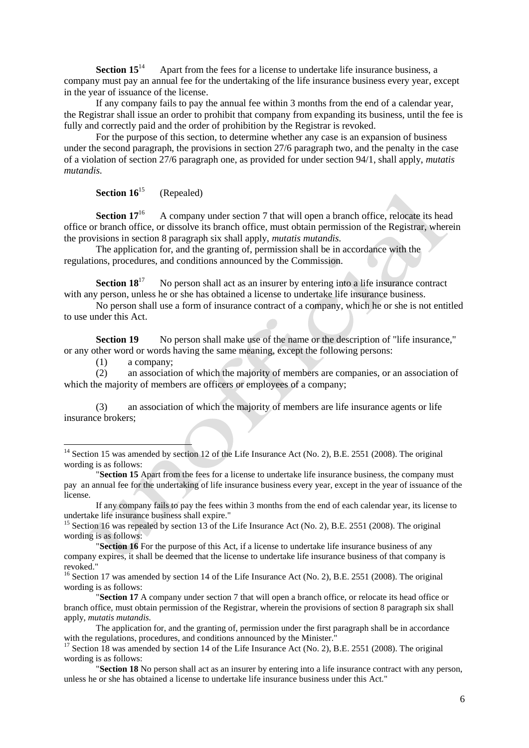**Section 15<sup>14</sup>** Apart from the fees for a license to undertake life insurance business, a company must pay an annual fee for the undertaking of the life insurance business every year, except in the year of issuance of the license.

If any company fails to pay the annual fee within 3 months from the end of a calendar year, the Registrar shall issue an order to prohibit that company from expanding its business, until the fee is fully and correctly paid and the order of prohibition by the Registrar is revoked.

For the purpose of this section, to determine whether any case is an expansion of business under the second paragraph, the provisions in section 27/6 paragraph two, and the penalty in the case of a violation of section 27/6 paragraph one, as provided for under section 94/1, shall apply, *mutatis mutandis.*

**Section 16<sup>15</sup>** (Repealed)

**Section 17<sup>16</sup>** A company under section 7 that will open a branch office, relocate its head office or branch office, or dissolve its branch office, must obtain permission of the Registrar, wherein the provisions in section 8 paragraph six shall apply, *mutatis mutandis.*

The application for, and the granting of, permission shall be in accordance with the regulations, procedures, and conditions announced by the Commission.

**Section 18**<sup>17</sup> No person shall act as an insurer by entering into a life insurance contract with any person, unless he or she has obtained a license to undertake life insurance business.

No person shall use a form of insurance contract of a company, which he or she is not entitled to use under this Act.

**Section 19** No person shall make use of the name or the description of "life insurance." or any other word or words having the same meaning, except the following persons:

(1) a company;

-

(2) an association of which the majority of members are companies, or an association of which the majority of members are officers or employees of a company;

(3) an association of which the majority of members are life insurance agents or life insurance brokers;

<sup>15</sup> Section 16 was repealed by section 13 of the Life Insurance Act (No. 2), B.E. 2551 (2008). The original wording is as follows:

"**Section 16** For the purpose of this Act, if a license to undertake life insurance business of any company expires, it shall be deemed that the license to undertake life insurance business of that company is revoked."

<sup>16</sup> Section 17 was amended by section 14 of the Life Insurance Act (No. 2), B.E. 2551 (2008). The original wording is as follows:

"**Section 17** A company under section 7 that will open a branch office, or relocate its head office or branch office, must obtain permission of the Registrar, wherein the provisions of section 8 paragraph six shall apply, *mutatis mutandis.*

The application for, and the granting of, permission under the first paragraph shall be in accordance with the regulations, procedures, and conditions announced by the Minister."

<sup>17</sup> Section 18 was amended by section 14 of the Life Insurance Act (No. 2), B.E. 2551 (2008). The original wording is as follows:

<sup>&</sup>lt;sup>14</sup> Section 15 was amended by section 12 of the Life Insurance Act (No. 2), B.E. 2551 (2008). The original wording is as follows:

<sup>&</sup>quot;**Section 15** Apart from the fees for a license to undertake life insurance business, the company must pay an annual fee for the undertaking of life insurance business every year, except in the year of issuance of the license.

If any company fails to pay the fees within 3 months from the end of each calendar year, its license to undertake life insurance business shall expire."

<sup>&</sup>quot;**Section 18** No person shall act as an insurer by entering into a life insurance contract with any person, unless he or she has obtained a license to undertake life insurance business under this Act."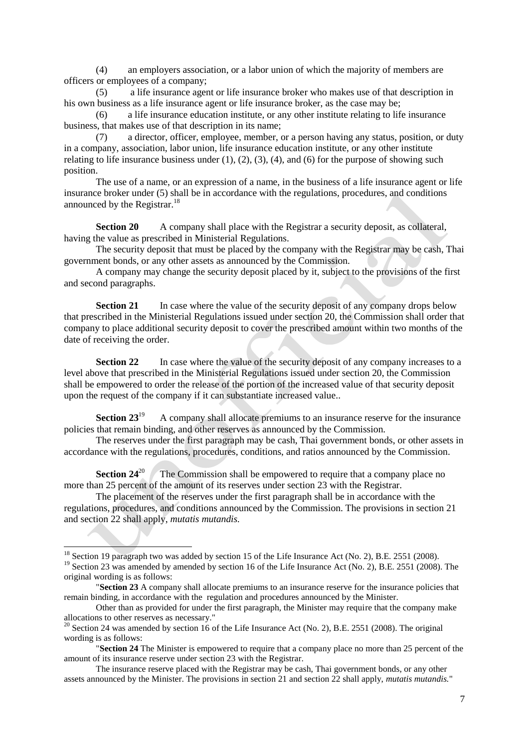(4) an employers association, or a labor union of which the majority of members are officers or employees of a company;

(5) a life insurance agent or life insurance broker who makes use of that description in his own business as a life insurance agent or life insurance broker, as the case may be;

(6) a life insurance education institute, or any other institute relating to life insurance business, that makes use of that description in its name;

(7) a director, officer, employee, member, or a person having any status, position, or duty in a company, association, labor union, life insurance education institute, or any other institute relating to life insurance business under  $(1)$ ,  $(2)$ ,  $(3)$ ,  $(4)$ , and  $(6)$  for the purpose of showing such position.

The use of a name, or an expression of a name, in the business of a life insurance agent or life insurance broker under (5) shall be in accordance with the regulations, procedures, and conditions announced by the Registrar.<sup>18</sup>

**Section 20** A company shall place with the Registrar a security deposit, as collateral, having the value as prescribed in Ministerial Regulations.

The security deposit that must be placed by the company with the Registrar may be cash, Thai government bonds, or any other assets as announced by the Commission.

A company may change the security deposit placed by it, subject to the provisions of the first and second paragraphs.

**Section 21** In case where the value of the security deposit of any company drops below that prescribed in the Ministerial Regulations issued under section 20, the Commission shall order that company to place additional security deposit to cover the prescribed amount within two months of the date of receiving the order.

**Section 22** In case where the value of the security deposit of any company increases to a level above that prescribed in the Ministerial Regulations issued under section 20, the Commission shall be empowered to order the release of the portion of the increased value of that security deposit upon the request of the company if it can substantiate increased value..

**Section 23**<sup>19</sup> A company shall allocate premiums to an insurance reserve for the insurance policies that remain binding, and other reserves as announced by the Commission.

The reserves under the first paragraph may be cash, Thai government bonds, or other assets in accordance with the regulations, procedures, conditions, and ratios announced by the Commission.

**Section 24<sup>20</sup>** The Commission shall be empowered to require that a company place no more than 25 percent of the amount of its reserves under section 23 with the Registrar.

The placement of the reserves under the first paragraph shall be in accordance with the regulations, procedures, and conditions announced by the Commission. The provisions in section 21 and section 22 shall apply, *mutatis mutandis.*

 $^{18}$  Section 19 paragraph two was added by section 15 of the Life Insurance Act (No. 2), B.E. 2551 (2008).

<sup>&</sup>lt;sup>19</sup> Section 23 was amended by amended by section 16 of the Life Insurance Act (No. 2), B.E. 2551 (2008). The original wording is as follows:

<sup>&</sup>quot;**Section 23** A company shall allocate premiums to an insurance reserve for the insurance policies that remain binding, in accordance with the regulation and procedures announced by the Minister.

Other than as provided for under the first paragraph, the Minister may require that the company make allocations to other reserves as necessary."

 $20$  Section 24 was amended by section 16 of the Life Insurance Act (No. 2), B.E. 2551 (2008). The original wording is as follows:

<sup>&</sup>quot;**Section 24** The Minister is empowered to require that a company place no more than 25 percent of the amount of its insurance reserve under section 23 with the Registrar.

The insurance reserve placed with the Registrar may be cash, Thai government bonds, or any other assets announced by the Minister. The provisions in section 21 and section 22 shall apply, *mutatis mutandis.*"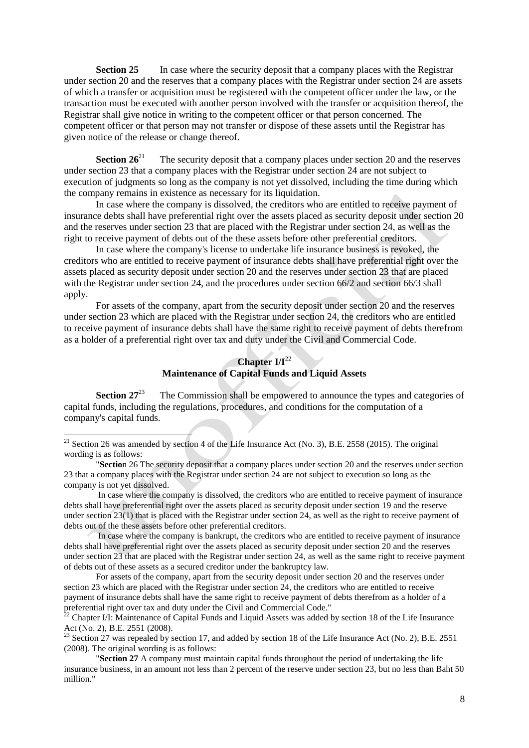**Section 25** In case where the security deposit that a company places with the Registrar under section 20 and the reserves that a company places with the Registrar under section 24 are assets of which a transfer or acquisition must be registered with the competent officer under the law, or the transaction must be executed with another person involved with the transfer or acquisition thereof, the Registrar shall give notice in writing to the competent officer or that person concerned. The competent officer or that person may not transfer or dispose of these assets until the Registrar has given notice of the release or change thereof.

**Section 26<sup>21</sup>** The security deposit that a company places under section 20 and the reserves under section 23 that a company places with the Registrar under section 24 are not subject to execution of judgments so long as the company is not yet dissolved, including the time during which the company remains in existence as necessary for its liquidation.

In case where the company is dissolved, the creditors who are entitled to receive payment of insurance debts shall have preferential right over the assets placed as security deposit under section 20 and the reserves under section 23 that are placed with the Registrar under section 24, as well as the right to receive payment of debts out of the these assets before other preferential creditors.

In case where the company's license to undertake life insurance business is revoked, the creditors who are entitled to receive payment of insurance debts shall have preferential right over the assets placed as security deposit under section 20 and the reserves under section 23 that are placed with the Registrar under section 24, and the procedures under section 66/2 and section 66/3 shall apply.

For assets of the company, apart from the security deposit under section 20 and the reserves under section 23 which are placed with the Registrar under section 24, the creditors who are entitled to receive payment of insurance debts shall have the same right to receive payment of debts therefrom as a holder of a preferential right over tax and duty under the Civil and Commercial Code.

### **Chapter I/I**<sup>22</sup> **Maintenance of Capital Funds and Liquid Assets**

**Section 27**<sup>23</sup> The Commission shall be empowered to announce the types and categories of capital funds, including the regulations, procedures, and conditions for the computation of a company's capital funds.

<sup>&</sup>lt;sup>21</sup> Section 26 was amended by section 4 of the Life Insurance Act (No. 3), B.E. 2558 (2015). The original wording is as follows:

<sup>&</sup>quot;**Sectio**n 26 The security deposit that a company places under section 20 and the reserves under section 23 that a company places with the Registrar under section 24 are not subject to execution so long as the company is not yet dissolved.

In case where the company is dissolved, the creditors who are entitled to receive payment of insurance debts shall have preferential right over the assets placed as security deposit under section 19 and the reserve under section 23(1) that is placed with the Registrar under section 24, as well as the right to receive payment of debts out of the these assets before other preferential creditors.

In case where the company is bankrupt, the creditors who are entitled to receive payment of insurance debts shall have preferential right over the assets placed as security deposit under section 20 and the reserves under section 23 that are placed with the Registrar under section 24, as well as the same right to receive payment of debts out of these assets as a secured creditor under the bankruptcy law.

For assets of the company, apart from the security deposit under section 20 and the reserves under section 23 which are placed with the Registrar under section 24, the creditors who are entitled to receive payment of insurance debts shall have the same right to receive payment of debts therefrom as a holder of a preferential right over tax and duty under the Civil and Commercial Code."

 $22$  Chapter I/I: Maintenance of Capital Funds and Liquid Assets was added by section 18 of the Life Insurance Act (No. 2), B.E. 2551 (2008).

<sup>&</sup>lt;sup>23</sup> Section 27 was repealed by section 17, and added by section 18 of the Life Insurance Act (No. 2), B.E. 2551 (2008). The original wording is as follows:

<sup>&</sup>quot;**Section 27** A company must maintain capital funds throughout the period of undertaking the life insurance business, in an amount not less than 2 percent of the reserve under section 23, but no less than Baht 50 million."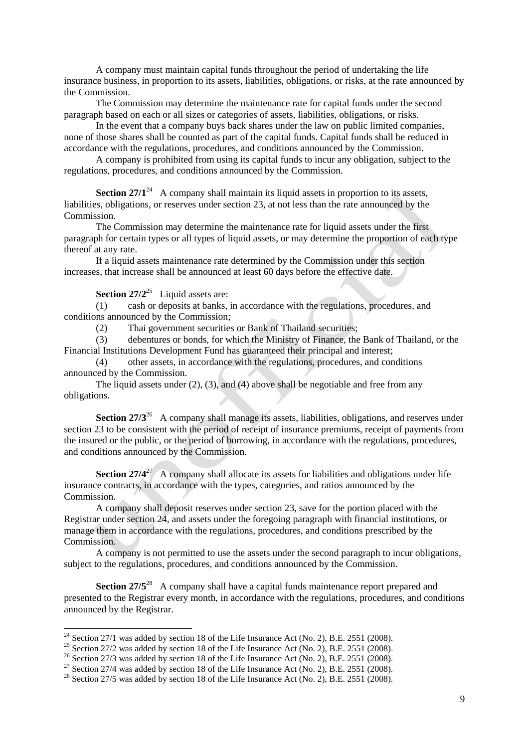A company must maintain capital funds throughout the period of undertaking the life insurance business, in proportion to its assets, liabilities, obligations, or risks, at the rate announced by the Commission.

The Commission may determine the maintenance rate for capital funds under the second paragraph based on each or all sizes or categories of assets, liabilities, obligations, or risks.

In the event that a company buys back shares under the law on public limited companies, none of those shares shall be counted as part of the capital funds. Capital funds shall be reduced in accordance with the regulations, procedures, and conditions announced by the Commission.

A company is prohibited from using its capital funds to incur any obligation, subject to the regulations, procedures, and conditions announced by the Commission.

**Section 27/1<sup>24</sup>** A company shall maintain its liquid assets in proportion to its assets, liabilities, obligations, or reserves under section 23, at not less than the rate announced by the Commission.

The Commission may determine the maintenance rate for liquid assets under the first paragraph for certain types or all types of liquid assets, or may determine the proportion of each type thereof at any rate.

If a liquid assets maintenance rate determined by the Commission under this section increases, that increase shall be announced at least 60 days before the effective date.

## **Section 27/2<sup>25</sup>** Liquid assets are:

1

(1) cash or deposits at banks, in accordance with the regulations, procedures, and conditions announced by the Commission;

(2) Thai government securities or Bank of Thailand securities;

(3) debentures or bonds, for which the Ministry of Finance, the Bank of Thailand, or the Financial Institutions Development Fund has guaranteed their principal and interest;

(4) other assets, in accordance with the regulations, procedures, and conditions announced by the Commission.

The liquid assets under (2), (3), and (4) above shall be negotiable and free from any obligations.

**Section 27/3**<sup>26</sup> A company shall manage its assets, liabilities, obligations, and reserves under section 23 to be consistent with the period of receipt of insurance premiums, receipt of payments from the insured or the public, or the period of borrowing, in accordance with the regulations, procedures, and conditions announced by the Commission.

**Section 27/4<sup>27</sup>** A company shall allocate its assets for liabilities and obligations under life insurance contracts, in accordance with the types, categories, and ratios announced by the Commission.

A company shall deposit reserves under section 23, save for the portion placed with the Registrar under section 24, and assets under the foregoing paragraph with financial institutions, or manage them in accordance with the regulations, procedures, and conditions prescribed by the Commission.

A company is not permitted to use the assets under the second paragraph to incur obligations, subject to the regulations, procedures, and conditions announced by the Commission.

**Section 27/5<sup>28</sup>** A company shall have a capital funds maintenance report prepared and presented to the Registrar every month, in accordance with the regulations, procedures, and conditions announced by the Registrar.

 $^{24}$  Section 27/1 was added by section 18 of the Life Insurance Act (No. 2), B.E. 2551 (2008).

<sup>&</sup>lt;sup>25</sup> Section 27/2 was added by section 18 of the Life Insurance Act (No. 2), B.E. 2551 (2008).

<sup>&</sup>lt;sup>26</sup> Section 27/3 was added by section 18 of the Life Insurance Act (No. 2), B.E. 2551 (2008).

<sup>&</sup>lt;sup>27</sup> Section 27/4 was added by section 18 of the Life Insurance Act (No. 2), B.E. 2551 (2008).

 $^{28}$  Section 27/5 was added by section 18 of the Life Insurance Act (No. 2), B.E. 2551 (2008).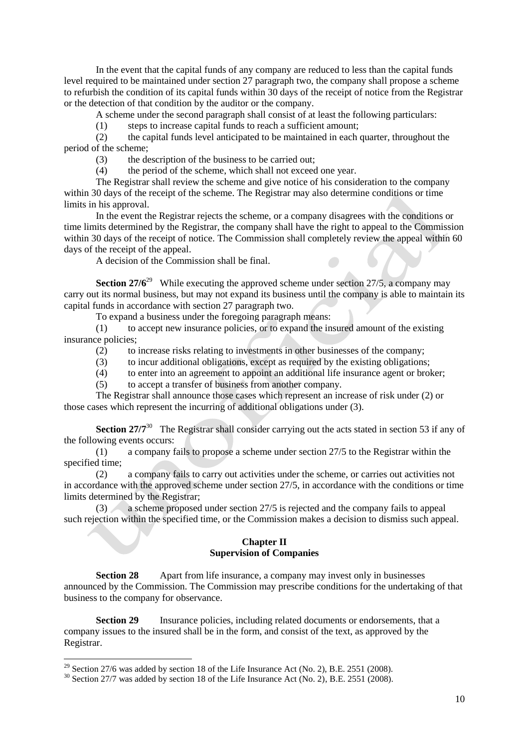In the event that the capital funds of any company are reduced to less than the capital funds level required to be maintained under section 27 paragraph two, the company shall propose a scheme to refurbish the condition of its capital funds within 30 days of the receipt of notice from the Registrar or the detection of that condition by the auditor or the company.

A scheme under the second paragraph shall consist of at least the following particulars:

(1) steps to increase capital funds to reach a sufficient amount;

(2) the capital funds level anticipated to be maintained in each quarter, throughout the period of the scheme;

(3) the description of the business to be carried out;

(4) the period of the scheme, which shall not exceed one year.

The Registrar shall review the scheme and give notice of his consideration to the company within 30 days of the receipt of the scheme. The Registrar may also determine conditions or time limits in his approval.

In the event the Registrar rejects the scheme, or a company disagrees with the conditions or time limits determined by the Registrar, the company shall have the right to appeal to the Commission within 30 days of the receipt of notice. The Commission shall completely review the appeal within 60 days of the receipt of the appeal.

A decision of the Commission shall be final.

**Section 27/6<sup>29</sup>** While executing the approved scheme under section 27/5, a company may carry out its normal business, but may not expand its business until the company is able to maintain its capital funds in accordance with section 27 paragraph two.

To expand a business under the foregoing paragraph means:

(1) to accept new insurance policies, or to expand the insured amount of the existing insurance policies;

- (2) to increase risks relating to investments in other businesses of the company;
- (3) to incur additional obligations, except as required by the existing obligations;
- (4) to enter into an agreement to appoint an additional life insurance agent or broker;
- (5) to accept a transfer of business from another company.

The Registrar shall announce those cases which represent an increase of risk under (2) or those cases which represent the incurring of additional obligations under (3).

**Section 27/7<sup>30</sup>** The Registrar shall consider carrying out the acts stated in section 53 if any of the following events occurs:

(1) a company fails to propose a scheme under section 27/5 to the Registrar within the specified time;

(2) a company fails to carry out activities under the scheme, or carries out activities not in accordance with the approved scheme under section 27/5, in accordance with the conditions or time limits determined by the Registrar;

(3) a scheme proposed under section 27/5 is rejected and the company fails to appeal such rejection within the specified time, or the Commission makes a decision to dismiss such appeal.

### **Chapter II Supervision of Companies**

**Section 28** Apart from life insurance, a company may invest only in businesses announced by the Commission. The Commission may prescribe conditions for the undertaking of that business to the company for observance.

**Section 29** Insurance policies, including related documents or endorsements, that a company issues to the insured shall be in the form, and consist of the text, as approved by the Registrar.

 $^{29}$  Section 27/6 was added by section 18 of the Life Insurance Act (No. 2), B.E. 2551 (2008).

<sup>&</sup>lt;sup>30</sup> Section 27/7 was added by section 18 of the Life Insurance Act (No. 2), B.E. 2551 (2008).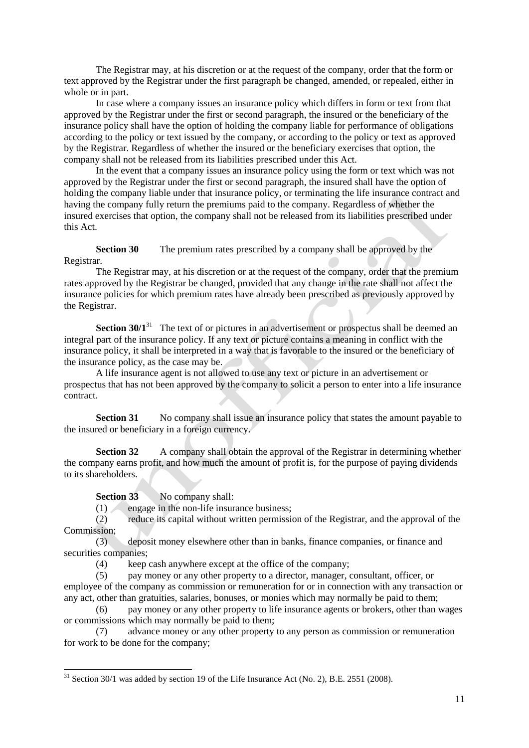The Registrar may, at his discretion or at the request of the company, order that the form or text approved by the Registrar under the first paragraph be changed, amended, or repealed, either in whole or in part.

In case where a company issues an insurance policy which differs in form or text from that approved by the Registrar under the first or second paragraph, the insured or the beneficiary of the insurance policy shall have the option of holding the company liable for performance of obligations according to the policy or text issued by the company, or according to the policy or text as approved by the Registrar. Regardless of whether the insured or the beneficiary exercises that option, the company shall not be released from its liabilities prescribed under this Act.

In the event that a company issues an insurance policy using the form or text which was not approved by the Registrar under the first or second paragraph, the insured shall have the option of holding the company liable under that insurance policy, or terminating the life insurance contract and having the company fully return the premiums paid to the company. Regardless of whether the insured exercises that option, the company shall not be released from its liabilities prescribed under this Act.

**Section 30** The premium rates prescribed by a company shall be approved by the Registrar.

The Registrar may, at his discretion or at the request of the company, order that the premium rates approved by the Registrar be changed, provided that any change in the rate shall not affect the insurance policies for which premium rates have already been prescribed as previously approved by the Registrar.

**Section 30/1<sup>31</sup>** The text of or pictures in an advertisement or prospectus shall be deemed an integral part of the insurance policy. If any text or picture contains a meaning in conflict with the insurance policy, it shall be interpreted in a way that is favorable to the insured or the beneficiary of the insurance policy, as the case may be.

A life insurance agent is not allowed to use any text or picture in an advertisement or prospectus that has not been approved by the company to solicit a person to enter into a life insurance contract.

**Section 31** No company shall issue an insurance policy that states the amount payable to the insured or beneficiary in a foreign currency.

**Section 32** A company shall obtain the approval of the Registrar in determining whether the company earns profit, and how much the amount of profit is, for the purpose of paying dividends to its shareholders.

**Section 33** No company shall:

-

 $(1)$  engage in the non-life insurance business:

(2) reduce its capital without written permission of the Registrar, and the approval of the Commission;

(3) deposit money elsewhere other than in banks, finance companies, or finance and securities companies;

(4) keep cash anywhere except at the office of the company;

(5) pay money or any other property to a director, manager, consultant, officer, or employee of the company as commission or remuneration for or in connection with any transaction or any act, other than gratuities, salaries, bonuses, or monies which may normally be paid to them;

(6) pay money or any other property to life insurance agents or brokers, other than wages or commissions which may normally be paid to them;

(7) advance money or any other property to any person as commission or remuneration for work to be done for the company;

 $31$  Section 30/1 was added by section 19 of the Life Insurance Act (No. 2), B.E. 2551 (2008).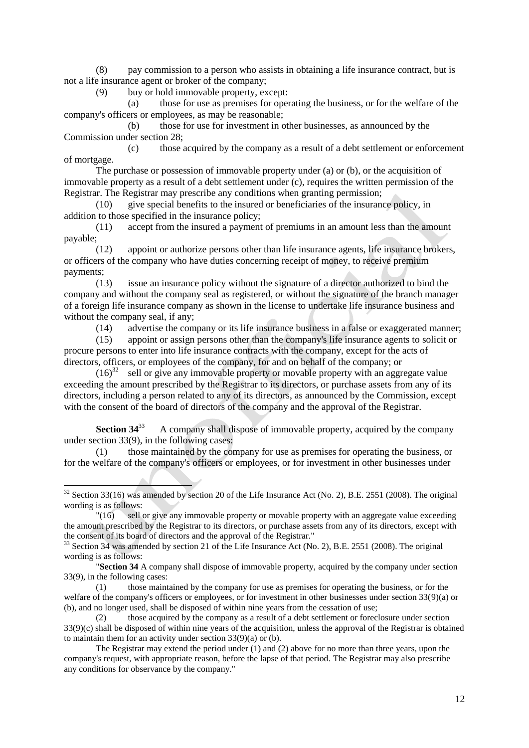(8) pay commission to a person who assists in obtaining a life insurance contract, but is not a life insurance agent or broker of the company;

(9) buy or hold immovable property, except:

(a) those for use as premises for operating the business, or for the welfare of the company's officers or employees, as may be reasonable;

(b) those for use for investment in other businesses, as announced by the Commission under section 28;

(c) those acquired by the company as a result of a debt settlement or enforcement of mortgage.

The purchase or possession of immovable property under (a) or (b), or the acquisition of immovable property as a result of a debt settlement under (c), requires the written permission of the Registrar. The Registrar may prescribe any conditions when granting permission;

(10) give special benefits to the insured or beneficiaries of the insurance policy, in addition to those specified in the insurance policy;

(11) accept from the insured a payment of premiums in an amount less than the amount payable;

(12) appoint or authorize persons other than life insurance agents, life insurance brokers, or officers of the company who have duties concerning receipt of money, to receive premium payments;

(13) issue an insurance policy without the signature of a director authorized to bind the company and without the company seal as registered, or without the signature of the branch manager of a foreign life insurance company as shown in the license to undertake life insurance business and without the company seal, if any;

(14) advertise the company or its life insurance business in a false or exaggerated manner;

(15) appoint or assign persons other than the company's life insurance agents to solicit or procure persons to enter into life insurance contracts with the company, except for the acts of directors, officers, or employees of the company, for and on behalf of the company; or

 $(16)^{32}$  sell or give any immovable property or movable property with an aggregate value exceeding the amount prescribed by the Registrar to its directors, or purchase assets from any of its directors, including a person related to any of its directors, as announced by the Commission, except with the consent of the board of directors of the company and the approval of the Registrar.

**Section 34**<sup>33</sup> A company shall dispose of immovable property, acquired by the company under section 33(9), in the following cases:

(1) those maintained by the company for use as premises for operating the business, or for the welfare of the company's officers or employees, or for investment in other businesses under

<sup>&</sup>lt;sup>32</sup> Section 33(16) was amended by section 20 of the Life Insurance Act (No. 2), B.E. 2551 (2008). The original wording is as follows:

<sup>&</sup>quot;(16) sell or give any immovable property or movable property with an aggregate value exceeding the amount prescribed by the Registrar to its directors, or purchase assets from any of its directors, except with the consent of its board of directors and the approval of the Registrar."

<sup>&</sup>lt;sup>33</sup> Section 34 was amended by section 21 of the Life Insurance Act (No. 2), B.E. 2551 (2008). The original wording is as follows:

<sup>&</sup>quot;**Section 34** A company shall dispose of immovable property, acquired by the company under section 33(9), in the following cases:

<sup>(1)</sup> those maintained by the company for use as premises for operating the business, or for the welfare of the company's officers or employees, or for investment in other businesses under section 33(9)(a) or (b), and no longer used, shall be disposed of within nine years from the cessation of use;

<sup>(2)</sup> those acquired by the company as a result of a debt settlement or foreclosure under section 33(9)(c) shall be disposed of within nine years of the acquisition, unless the approval of the Registrar is obtained to maintain them for an activity under section 33(9)(a) or (b).

The Registrar may extend the period under (1) and (2) above for no more than three years, upon the company's request, with appropriate reason, before the lapse of that period. The Registrar may also prescribe any conditions for observance by the company."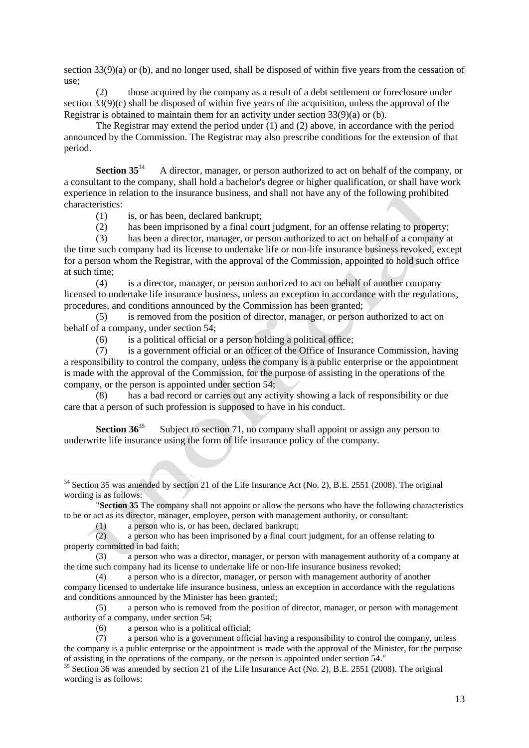section 33(9)(a) or (b), and no longer used, shall be disposed of within five years from the cessation of use;

(2) those acquired by the company as a result of a debt settlement or foreclosure under section 33(9)(c) shall be disposed of within five years of the acquisition, unless the approval of the Registrar is obtained to maintain them for an activity under section 33(9)(a) or (b).

The Registrar may extend the period under (1) and (2) above, in accordance with the period announced by the Commission. The Registrar may also prescribe conditions for the extension of that period.

**Section 35<sup>34</sup>** A director, manager, or person authorized to act on behalf of the company, or a consultant to the company, shall hold a bachelor's degree or higher qualification, or shall have work experience in relation to the insurance business, and shall not have any of the following prohibited characteristics:

(1) is, or has been, declared bankrupt;

(2) has been imprisoned by a final court judgment, for an offense relating to property;

(3) has been a director, manager, or person authorized to act on behalf of a company at the time such company had its license to undertake life or non-life insurance business revoked, except for a person whom the Registrar, with the approval of the Commission, appointed to hold such office at such time;

(4) is a director, manager, or person authorized to act on behalf of another company licensed to undertake life insurance business, unless an exception in accordance with the regulations, procedures, and conditions announced by the Commission has been granted;

(5) is removed from the position of director, manager, or person authorized to act on behalf of a company, under section 54;

(6) is a political official or a person holding a political office;

(7) is a government official or an officer of the Office of Insurance Commission, having a responsibility to control the company, unless the company is a public enterprise or the appointment is made with the approval of the Commission, for the purpose of assisting in the operations of the company, or the person is appointed under section 54;

(8) has a bad record or carries out any activity showing a lack of responsibility or due care that a person of such profession is supposed to have in his conduct.

**Section 36**<sup>35</sup> Subject to section 71, no company shall appoint or assign any person to underwrite life insurance using the form of life insurance policy of the company.

(1) a person who is, or has been, declared bankrupt;

 $34$  Section 35 was amended by section 21 of the Life Insurance Act (No. 2), B.E. 2551 (2008). The original wording is as follows:

<sup>&</sup>quot;**Section 35** The company shall not appoint or allow the persons who have the following characteristics to be or act as its director, manager, employee, person with management authority, or consultant:

<sup>(2)</sup> a person who has been imprisoned by a final court judgment, for an offense relating to property committed in bad faith;

<sup>(3)</sup> a person who was a director, manager, or person with management authority of a company at the time such company had its license to undertake life or non-life insurance business revoked;

<sup>(4)</sup> a person who is a director, manager, or person with management authority of another company licensed to undertake life insurance business, unless an exception in accordance with the regulations and conditions announced by the Minister has been granted;

<sup>(5)</sup> a person who is removed from the position of director, manager, or person with management authority of a company, under section 54;

<sup>(6)</sup> a person who is a political official;

<sup>(7)</sup> a person who is a government official having a responsibility to control the company, unless the company is a public enterprise or the appointment is made with the approval of the Minister, for the purpose of assisting in the operations of the company, or the person is appointed under section 54."

 $35$  Section 36 was amended by section 21 of the Life Insurance Act (No. 2), B.E. 2551 (2008). The original wording is as follows: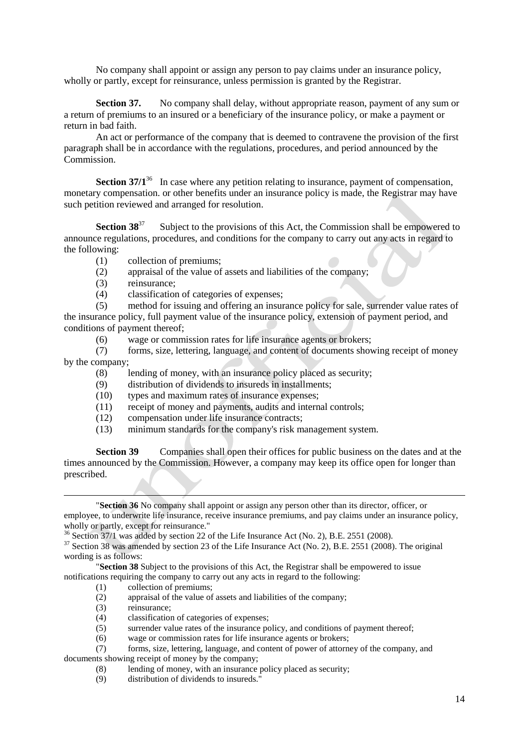No company shall appoint or assign any person to pay claims under an insurance policy, wholly or partly, except for reinsurance, unless permission is granted by the Registrar.

**Section 37.** No company shall delay, without appropriate reason, payment of any sum or a return of premiums to an insured or a beneficiary of the insurance policy, or make a payment or return in bad faith.

An act or performance of the company that is deemed to contravene the provision of the first paragraph shall be in accordance with the regulations, procedures, and period announced by the Commission.

**Section 37/1<sup>36</sup>** In case where any petition relating to insurance, payment of compensation, monetary compensation. or other benefits under an insurance policy is made, the Registrar may have such petition reviewed and arranged for resolution.

**Section 38**<sup>37</sup> Subject to the provisions of this Act, the Commission shall be empowered to announce regulations, procedures, and conditions for the company to carry out any acts in regard to the following:

- (1) collection of premiums;
- (2) appraisal of the value of assets and liabilities of the company;
- (3) reinsurance;
- (4) classification of categories of expenses;

(5) method for issuing and offering an insurance policy for sale, surrender value rates of the insurance policy, full payment value of the insurance policy, extension of payment period, and conditions of payment thereof;

(6) wage or commission rates for life insurance agents or brokers;

(7) forms, size, lettering, language, and content of documents showing receipt of money by the company;

- (8) lending of money, with an insurance policy placed as security;
- (9) distribution of dividends to insureds in installments;
- (10) types and maximum rates of insurance expenses;
- (11) receipt of money and payments, audits and internal controls;
- (12) compensation under life insurance contracts;
- (13) minimum standards for the company's risk management system.

**Section 39** Companies shall open their offices for public business on the dates and at the times announced by the Commission. However, a company may keep its office open for longer than prescribed.

"**Section 36** No company shall appoint or assign any person other than its director, officer, or employee, to underwrite life insurance, receive insurance premiums, and pay claims under an insurance policy, wholly or partly, except for reinsurance."

<sup>36</sup> Section 37/1 was added by section 22 of the Life Insurance Act (No. 2), B.E. 2551 (2008).

<sup>37</sup> Section 38 was amended by section 23 of the Life Insurance Act (No. 2), B.E. 2551 (2008). The original wording is as follows:

"**Section 38** Subject to the provisions of this Act, the Registrar shall be empowered to issue notifications requiring the company to carry out any acts in regard to the following:

- (1) collection of premiums;
- (2) appraisal of the value of assets and liabilities of the company;
- (3) reinsurance;

1

- (4) classification of categories of expenses;
- (5) surrender value rates of the insurance policy, and conditions of payment thereof;
- (6) wage or commission rates for life insurance agents or brokers;

(7) forms, size, lettering, language, and content of power of attorney of the company, and documents showing receipt of money by the company;

- (8) lending of money, with an insurance policy placed as security;
- (9) distribution of dividends to insureds."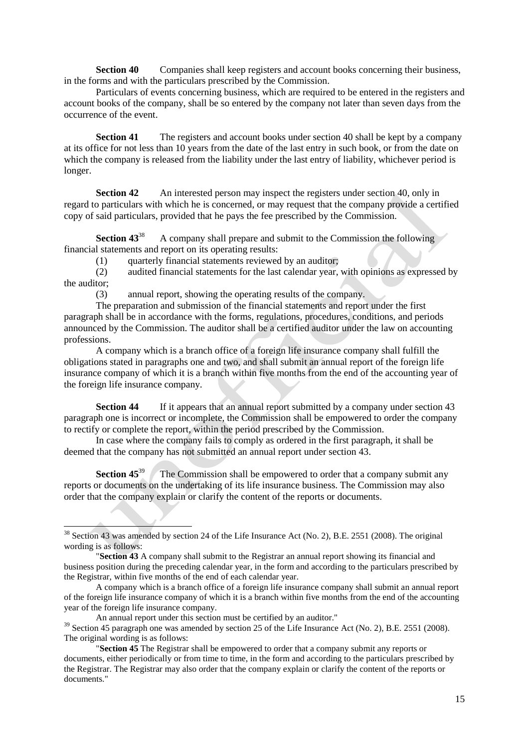**Section 40** Companies shall keep registers and account books concerning their business, in the forms and with the particulars prescribed by the Commission.

Particulars of events concerning business, which are required to be entered in the registers and account books of the company, shall be so entered by the company not later than seven days from the occurrence of the event.

**Section 41** The registers and account books under section 40 shall be kept by a company at its office for not less than 10 years from the date of the last entry in such book, or from the date on which the company is released from the liability under the last entry of liability, whichever period is longer.

**Section 42** An interested person may inspect the registers under section 40, only in regard to particulars with which he is concerned, or may request that the company provide a certified copy of said particulars, provided that he pays the fee prescribed by the Commission.

**Section 43**<sup>38</sup> A company shall prepare and submit to the Commission the following financial statements and report on its operating results:

(1) quarterly financial statements reviewed by an auditor;

(2) audited financial statements for the last calendar year, with opinions as expressed by the auditor;

(3) annual report, showing the operating results of the company.

The preparation and submission of the financial statements and report under the first paragraph shall be in accordance with the forms, regulations, procedures, conditions, and periods announced by the Commission. The auditor shall be a certified auditor under the law on accounting professions.

A company which is a branch office of a foreign life insurance company shall fulfill the obligations stated in paragraphs one and two, and shall submit an annual report of the foreign life insurance company of which it is a branch within five months from the end of the accounting year of the foreign life insurance company.

**Section 44** If it appears that an annual report submitted by a company under section 43 paragraph one is incorrect or incomplete, the Commission shall be empowered to order the company to rectify or complete the report, within the period prescribed by the Commission.

In case where the company fails to comply as ordered in the first paragraph, it shall be deemed that the company has not submitted an annual report under section 43.

**Section 45<sup>39</sup>** The Commission shall be empowered to order that a company submit any reports or documents on the undertaking of its life insurance business. The Commission may also order that the company explain or clarify the content of the reports or documents.

<sup>&</sup>lt;sup>38</sup> Section 43 was amended by section 24 of the Life Insurance Act (No. 2), B.E. 2551 (2008). The original wording is as follows:

<sup>&</sup>quot;**Section 43** A company shall submit to the Registrar an annual report showing its financial and business position during the preceding calendar year, in the form and according to the particulars prescribed by the Registrar, within five months of the end of each calendar year.

A company which is a branch office of a foreign life insurance company shall submit an annual report of the foreign life insurance company of which it is a branch within five months from the end of the accounting year of the foreign life insurance company.

An annual report under this section must be certified by an auditor."

<sup>&</sup>lt;sup>39</sup> Section 45 paragraph one was amended by section 25 of the Life Insurance Act (No. 2), B.E. 2551 (2008). The original wording is as follows:

<sup>&</sup>quot;**Section 45** The Registrar shall be empowered to order that a company submit any reports or documents, either periodically or from time to time, in the form and according to the particulars prescribed by the Registrar. The Registrar may also order that the company explain or clarify the content of the reports or documents."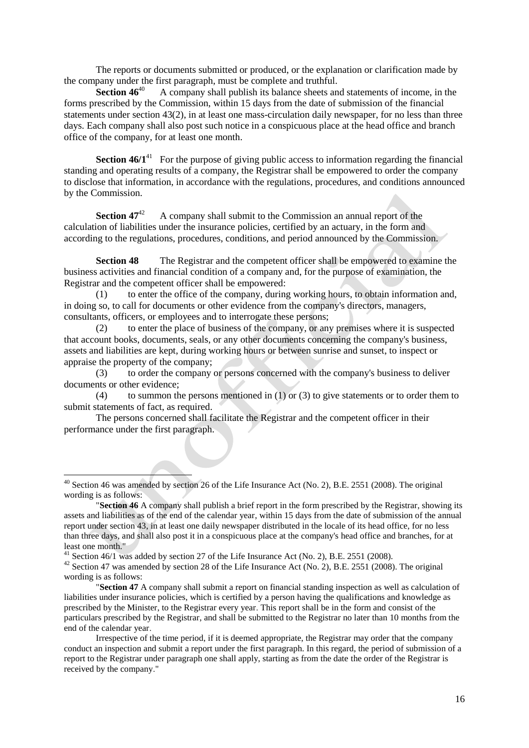The reports or documents submitted or produced, or the explanation or clarification made by the company under the first paragraph, must be complete and truthful.<br>Section  $46^{40}$  A company shall publish its balance sheets an

**Section 46**<sup>40</sup> A company shall publish its balance sheets and statements of income, in the forms prescribed by the Commission, within 15 days from the date of submission of the financial statements under section 43(2), in at least one mass-circulation daily newspaper, for no less than three days. Each company shall also post such notice in a conspicuous place at the head office and branch office of the company, for at least one month.

**Section 46/1<sup>41</sup>** For the purpose of giving public access to information regarding the financial standing and operating results of a company, the Registrar shall be empowered to order the company to disclose that information, in accordance with the regulations, procedures, and conditions announced by the Commission.

**Section 47<sup>42</sup>** A company shall submit to the Commission an annual report of the calculation of liabilities under the insurance policies, certified by an actuary, in the form and according to the regulations, procedures, conditions, and period announced by the Commission.

**Section 48** The Registrar and the competent officer shall be empowered to examine the business activities and financial condition of a company and, for the purpose of examination, the Registrar and the competent officer shall be empowered:

(1) to enter the office of the company, during working hours, to obtain information and, in doing so, to call for documents or other evidence from the company's directors, managers, consultants, officers, or employees and to interrogate these persons;

(2) to enter the place of business of the company, or any premises where it is suspected that account books, documents, seals, or any other documents concerning the company's business, assets and liabilities are kept, during working hours or between sunrise and sunset, to inspect or appraise the property of the company;

(3) to order the company or persons concerned with the company's business to deliver documents or other evidence;

(4) to summon the persons mentioned in (1) or (3) to give statements or to order them to submit statements of fact, as required.

The persons concerned shall facilitate the Registrar and the competent officer in their performance under the first paragraph.

 $41$  Section 46/1 was added by section 27 of the Life Insurance Act (No. 2), B.E. 2551 (2008).

 $40$  Section 46 was amended by section 26 of the Life Insurance Act (No. 2), B.E. 2551 (2008). The original wording is as follows:

<sup>&</sup>quot;**Section 46** A company shall publish a brief report in the form prescribed by the Registrar, showing its assets and liabilities as of the end of the calendar year, within 15 days from the date of submission of the annual report under section 43, in at least one daily newspaper distributed in the locale of its head office, for no less than three days, and shall also post it in a conspicuous place at the company's head office and branches, for at least one month."

 $42$  Section 47 was amended by section 28 of the Life Insurance Act (No. 2), B.E. 2551 (2008). The original wording is as follows:

<sup>&</sup>quot;**Section 47** A company shall submit a report on financial standing inspection as well as calculation of liabilities under insurance policies, which is certified by a person having the qualifications and knowledge as prescribed by the Minister, to the Registrar every year. This report shall be in the form and consist of the particulars prescribed by the Registrar, and shall be submitted to the Registrar no later than 10 months from the end of the calendar year.

Irrespective of the time period, if it is deemed appropriate, the Registrar may order that the company conduct an inspection and submit a report under the first paragraph. In this regard, the period of submission of a report to the Registrar under paragraph one shall apply, starting as from the date the order of the Registrar is received by the company."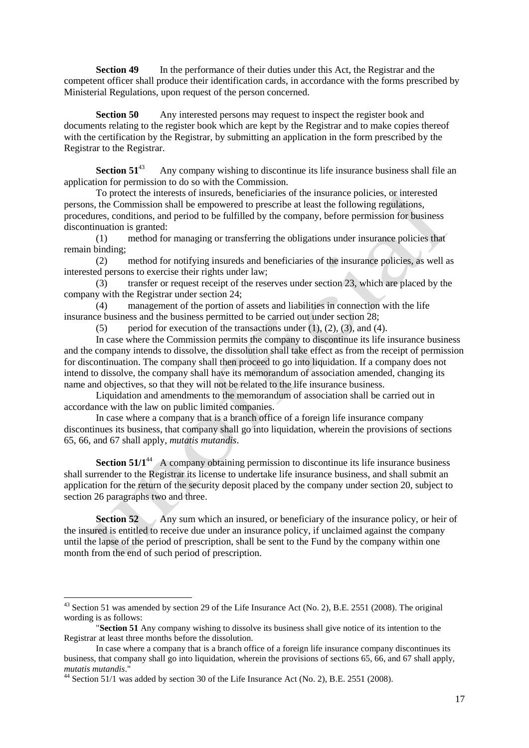**Section 49** In the performance of their duties under this Act, the Registrar and the competent officer shall produce their identification cards, in accordance with the forms prescribed by Ministerial Regulations, upon request of the person concerned.

**Section 50** Any interested persons may request to inspect the register book and documents relating to the register book which are kept by the Registrar and to make copies thereof with the certification by the Registrar, by submitting an application in the form prescribed by the Registrar to the Registrar.

**Section 51<sup>43</sup>** Any company wishing to discontinue its life insurance business shall file an application for permission to do so with the Commission.

To protect the interests of insureds, beneficiaries of the insurance policies, or interested persons, the Commission shall be empowered to prescribe at least the following regulations, procedures, conditions, and period to be fulfilled by the company, before permission for business discontinuation is granted:

(1) method for managing or transferring the obligations under insurance policies that remain binding;

(2) method for notifying insureds and beneficiaries of the insurance policies, as well as interested persons to exercise their rights under law;

(3) transfer or request receipt of the reserves under section 23, which are placed by the company with the Registrar under section 24;

(4) management of the portion of assets and liabilities in connection with the life insurance business and the business permitted to be carried out under section 28;

(5) period for execution of the transactions under  $(1)$ ,  $(2)$ ,  $(3)$ , and  $(4)$ .

In case where the Commission permits the company to discontinue its life insurance business and the company intends to dissolve, the dissolution shall take effect as from the receipt of permission for discontinuation. The company shall then proceed to go into liquidation. If a company does not intend to dissolve, the company shall have its memorandum of association amended, changing its name and objectives, so that they will not be related to the life insurance business.

Liquidation and amendments to the memorandum of association shall be carried out in accordance with the law on public limited companies.

In case where a company that is a branch office of a foreign life insurance company discontinues its business, that company shall go into liquidation, wherein the provisions of sections 65, 66, and 67 shall apply, *mutatis mutandis*.

**Section 51/1<sup>44</sup>** A company obtaining permission to discontinue its life insurance business shall surrender to the Registrar its license to undertake life insurance business, and shall submit an application for the return of the security deposit placed by the company under section 20, subject to section 26 paragraphs two and three.

**Section 52** Any sum which an insured, or beneficiary of the insurance policy, or heir of the insured is entitled to receive due under an insurance policy, if unclaimed against the company until the lapse of the period of prescription, shall be sent to the Fund by the company within one month from the end of such period of prescription.

 $43$  Section 51 was amended by section 29 of the Life Insurance Act (No. 2), B.E. 2551 (2008). The original wording is as follows:

<sup>&</sup>quot;**Section 51** Any company wishing to dissolve its business shall give notice of its intention to the Registrar at least three months before the dissolution.

In case where a company that is a branch office of a foreign life insurance company discontinues its business, that company shall go into liquidation, wherein the provisions of sections 65, 66, and 67 shall apply, *mutatis mutandis*."

 $44$  Section 51/1 was added by section 30 of the Life Insurance Act (No. 2), B.E. 2551 (2008).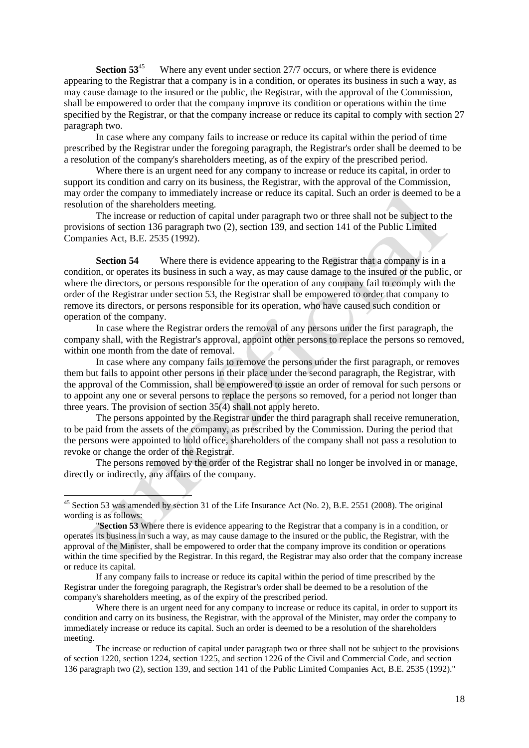**Section 53**<sup>45</sup> Where any event under section 27/7 occurs, or where there is evidence appearing to the Registrar that a company is in a condition, or operates its business in such a way, as may cause damage to the insured or the public, the Registrar, with the approval of the Commission, shall be empowered to order that the company improve its condition or operations within the time specified by the Registrar, or that the company increase or reduce its capital to comply with section 27 paragraph two.

In case where any company fails to increase or reduce its capital within the period of time prescribed by the Registrar under the foregoing paragraph, the Registrar's order shall be deemed to be a resolution of the company's shareholders meeting, as of the expiry of the prescribed period.

Where there is an urgent need for any company to increase or reduce its capital, in order to support its condition and carry on its business, the Registrar, with the approval of the Commission, may order the company to immediately increase or reduce its capital. Such an order is deemed to be a resolution of the shareholders meeting.

The increase or reduction of capital under paragraph two or three shall not be subject to the provisions of section 136 paragraph two (2), section 139, and section 141 of the Public Limited Companies Act, B.E. 2535 (1992).

**Section 54** Where there is evidence appearing to the Registrar that a company is in a condition, or operates its business in such a way, as may cause damage to the insured or the public, or where the directors, or persons responsible for the operation of any company fail to comply with the order of the Registrar under section 53, the Registrar shall be empowered to order that company to remove its directors, or persons responsible for its operation, who have caused such condition or operation of the company.

In case where the Registrar orders the removal of any persons under the first paragraph, the company shall, with the Registrar's approval, appoint other persons to replace the persons so removed, within one month from the date of removal.

In case where any company fails to remove the persons under the first paragraph, or removes them but fails to appoint other persons in their place under the second paragraph, the Registrar, with the approval of the Commission, shall be empowered to issue an order of removal for such persons or to appoint any one or several persons to replace the persons so removed, for a period not longer than three years. The provision of section 35(4) shall not apply hereto.

The persons appointed by the Registrar under the third paragraph shall receive remuneration, to be paid from the assets of the company, as prescribed by the Commission. During the period that the persons were appointed to hold office, shareholders of the company shall not pass a resolution to revoke or change the order of the Registrar.

The persons removed by the order of the Registrar shall no longer be involved in or manage, directly or indirectly, any affairs of the company.

<sup>&</sup>lt;sup>45</sup> Section 53 was amended by section 31 of the Life Insurance Act (No. 2), B.E. 2551 (2008). The original wording is as follows:

<sup>&</sup>quot;**Section 53** Where there is evidence appearing to the Registrar that a company is in a condition, or operates its business in such a way, as may cause damage to the insured or the public, the Registrar, with the approval of the Minister, shall be empowered to order that the company improve its condition or operations within the time specified by the Registrar. In this regard, the Registrar may also order that the company increase or reduce its capital.

If any company fails to increase or reduce its capital within the period of time prescribed by the Registrar under the foregoing paragraph, the Registrar's order shall be deemed to be a resolution of the company's shareholders meeting, as of the expiry of the prescribed period.

Where there is an urgent need for any company to increase or reduce its capital, in order to support its condition and carry on its business, the Registrar, with the approval of the Minister, may order the company to immediately increase or reduce its capital. Such an order is deemed to be a resolution of the shareholders meeting.

The increase or reduction of capital under paragraph two or three shall not be subject to the provisions of section 1220, section 1224, section 1225, and section 1226 of the Civil and Commercial Code, and section 136 paragraph two (2), section 139, and section 141 of the Public Limited Companies Act, B.E. 2535 (1992)."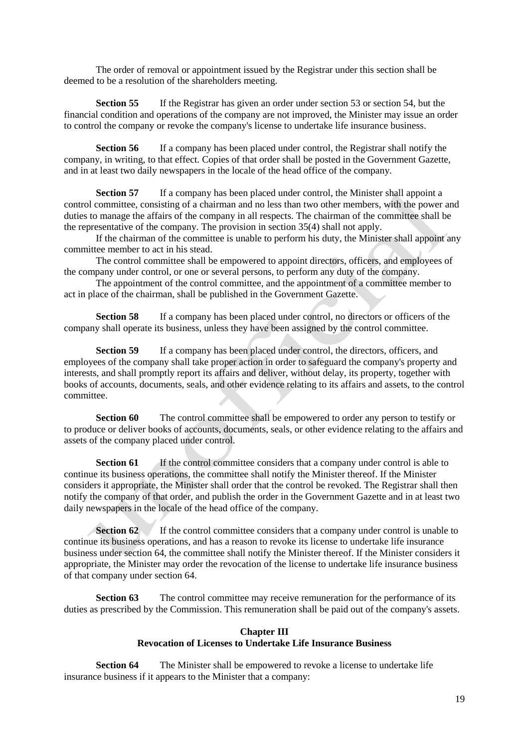The order of removal or appointment issued by the Registrar under this section shall be deemed to be a resolution of the shareholders meeting.

**Section 55** If the Registrar has given an order under section 53 or section 54, but the financial condition and operations of the company are not improved, the Minister may issue an order to control the company or revoke the company's license to undertake life insurance business.

**Section 56** If a company has been placed under control, the Registrar shall notify the company, in writing, to that effect. Copies of that order shall be posted in the Government Gazette, and in at least two daily newspapers in the locale of the head office of the company.

**Section 57** If a company has been placed under control, the Minister shall appoint a control committee, consisting of a chairman and no less than two other members, with the power and duties to manage the affairs of the company in all respects. The chairman of the committee shall be the representative of the company. The provision in section 35(4) shall not apply.

If the chairman of the committee is unable to perform his duty, the Minister shall appoint any committee member to act in his stead.

The control committee shall be empowered to appoint directors, officers, and employees of the company under control, or one or several persons, to perform any duty of the company.

The appointment of the control committee, and the appointment of a committee member to act in place of the chairman, shall be published in the Government Gazette.

**Section 58** If a company has been placed under control, no directors or officers of the company shall operate its business, unless they have been assigned by the control committee.

**Section 59** If a company has been placed under control, the directors, officers, and employees of the company shall take proper action in order to safeguard the company's property and interests, and shall promptly report its affairs and deliver, without delay, its property, together with books of accounts, documents, seals, and other evidence relating to its affairs and assets, to the control committee.

**Section 60** The control committee shall be empowered to order any person to testify or to produce or deliver books of accounts, documents, seals, or other evidence relating to the affairs and assets of the company placed under control.

**Section 61** If the control committee considers that a company under control is able to continue its business operations, the committee shall notify the Minister thereof. If the Minister considers it appropriate, the Minister shall order that the control be revoked. The Registrar shall then notify the company of that order, and publish the order in the Government Gazette and in at least two daily newspapers in the locale of the head office of the company.

**Section 62** If the control committee considers that a company under control is unable to continue its business operations, and has a reason to revoke its license to undertake life insurance business under section 64, the committee shall notify the Minister thereof. If the Minister considers it appropriate, the Minister may order the revocation of the license to undertake life insurance business of that company under section 64.

**Section 63** The control committee may receive remuneration for the performance of its duties as prescribed by the Commission. This remuneration shall be paid out of the company's assets.

### **Chapter III Revocation of Licenses to Undertake Life Insurance Business**

**Section 64** The Minister shall be empowered to revoke a license to undertake life insurance business if it appears to the Minister that a company: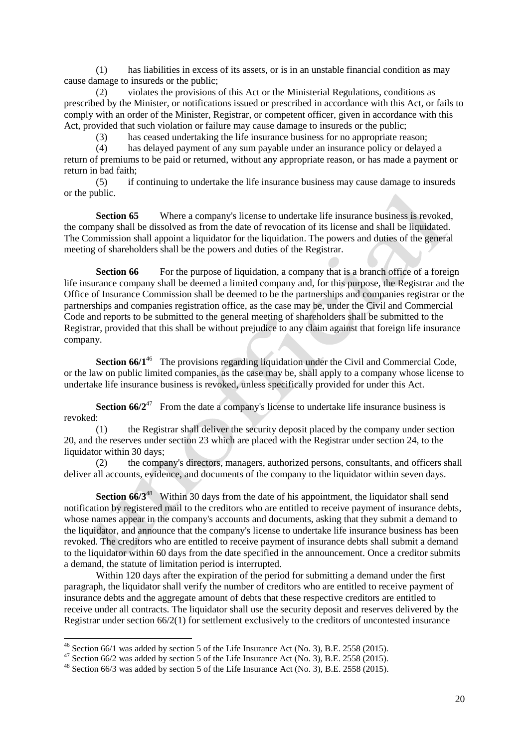(1) has liabilities in excess of its assets, or is in an unstable financial condition as may cause damage to insureds or the public;

(2) violates the provisions of this Act or the Ministerial Regulations, conditions as prescribed by the Minister, or notifications issued or prescribed in accordance with this Act, or fails to comply with an order of the Minister, Registrar, or competent officer, given in accordance with this Act, provided that such violation or failure may cause damage to insureds or the public;

(3) has ceased undertaking the life insurance business for no appropriate reason;

(4) has delayed payment of any sum payable under an insurance policy or delayed a return of premiums to be paid or returned, without any appropriate reason, or has made a payment or return in bad faith;

(5) if continuing to undertake the life insurance business may cause damage to insureds or the public.

**Section 65** Where a company's license to undertake life insurance business is revoked, the company shall be dissolved as from the date of revocation of its license and shall be liquidated. The Commission shall appoint a liquidator for the liquidation. The powers and duties of the general meeting of shareholders shall be the powers and duties of the Registrar.

**Section 66** For the purpose of liquidation, a company that is a branch office of a foreign life insurance company shall be deemed a limited company and, for this purpose, the Registrar and the Office of Insurance Commission shall be deemed to be the partnerships and companies registrar or the partnerships and companies registration office, as the case may be, under the Civil and Commercial Code and reports to be submitted to the general meeting of shareholders shall be submitted to the Registrar, provided that this shall be without prejudice to any claim against that foreign life insurance company.

**Section 66/1<sup>46</sup>** The provisions regarding liquidation under the Civil and Commercial Code, or the law on public limited companies, as the case may be, shall apply to a company whose license to undertake life insurance business is revoked, unless specifically provided for under this Act.

**Section 66/2<sup>47</sup>** From the date a company's license to undertake life insurance business is revoked:

(1) the Registrar shall deliver the security deposit placed by the company under section 20, and the reserves under section 23 which are placed with the Registrar under section 24, to the liquidator within 30 days;

(2) the company's directors, managers, authorized persons, consultants, and officers shall deliver all accounts, evidence, and documents of the company to the liquidator within seven days.

**Section 66/3<sup>48</sup>** Within 30 days from the date of his appointment, the liquidator shall send notification by registered mail to the creditors who are entitled to receive payment of insurance debts, whose names appear in the company's accounts and documents, asking that they submit a demand to the liquidator, and announce that the company's license to undertake life insurance business has been revoked. The creditors who are entitled to receive payment of insurance debts shall submit a demand to the liquidator within 60 days from the date specified in the announcement. Once a creditor submits a demand, the statute of limitation period is interrupted.

Within 120 days after the expiration of the period for submitting a demand under the first paragraph, the liquidator shall verify the number of creditors who are entitled to receive payment of insurance debts and the aggregate amount of debts that these respective creditors are entitled to receive under all contracts. The liquidator shall use the security deposit and reserves delivered by the Registrar under section  $66/2(1)$  for settlement exclusively to the creditors of uncontested insurance

 $^{46}$  Section 66/1 was added by section 5 of the Life Insurance Act (No. 3), B.E. 2558 (2015).

 $47$  Section 66/2 was added by section 5 of the Life Insurance Act (No. 3), B.E. 2558 (2015).

<sup>48</sup> Section 66/3 was added by section 5 of the Life Insurance Act (No. 3), B.E. 2558 (2015).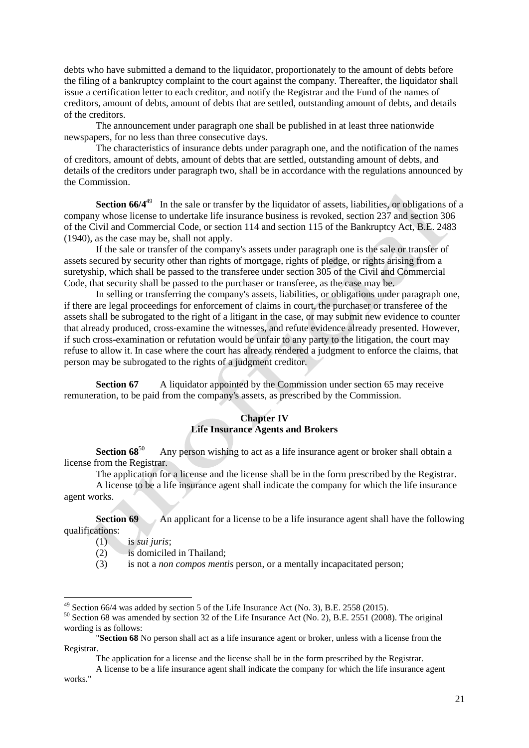debts who have submitted a demand to the liquidator, proportionately to the amount of debts before the filing of a bankruptcy complaint to the court against the company. Thereafter, the liquidator shall issue a certification letter to each creditor, and notify the Registrar and the Fund of the names of creditors, amount of debts, amount of debts that are settled, outstanding amount of debts, and details of the creditors.

The announcement under paragraph one shall be published in at least three nationwide newspapers, for no less than three consecutive days.

The characteristics of insurance debts under paragraph one, and the notification of the names of creditors, amount of debts, amount of debts that are settled, outstanding amount of debts, and details of the creditors under paragraph two, shall be in accordance with the regulations announced by the Commission.

**Section 66/4<sup>49</sup>** In the sale or transfer by the liquidator of assets, liabilities, or obligations of a company whose license to undertake life insurance business is revoked, section 237 and section 306 of the Civil and Commercial Code, or section 114 and section 115 of the Bankruptcy Act, B.E. 2483 (1940), as the case may be, shall not apply.

If the sale or transfer of the company's assets under paragraph one is the sale or transfer of assets secured by security other than rights of mortgage, rights of pledge, or rights arising from a suretyship, which shall be passed to the transferee under section 305 of the Civil and Commercial Code, that security shall be passed to the purchaser or transferee, as the case may be.

In selling or transferring the company's assets, liabilities, or obligations under paragraph one, if there are legal proceedings for enforcement of claims in court, the purchaser or transferee of the assets shall be subrogated to the right of a litigant in the case, or may submit new evidence to counter that already produced, cross-examine the witnesses, and refute evidence already presented. However, if such cross-examination or refutation would be unfair to any party to the litigation, the court may refuse to allow it. In case where the court has already rendered a judgment to enforce the claims, that person may be subrogated to the rights of a judgment creditor.

**Section 67** A liquidator appointed by the Commission under section 65 may receive remuneration, to be paid from the company's assets, as prescribed by the Commission.

### **Chapter IV Life Insurance Agents and Brokers**

**Section 68**<sup>50</sup> Any person wishing to act as a life insurance agent or broker shall obtain a license from the Registrar.

The application for a license and the license shall be in the form prescribed by the Registrar.

A license to be a life insurance agent shall indicate the company for which the life insurance agent works.

**Section 69** An applicant for a license to be a life insurance agent shall have the following qualifications:

(1) is *sui juris*;

-

- $(2)$  is domiciled in Thailand;
- (3) is not a *non compos mentis* person, or a mentally incapacitated person;

The application for a license and the license shall be in the form prescribed by the Registrar.

 $^{49}$  Section 66/4 was added by section 5 of the Life Insurance Act (No. 3), B.E. 2558 (2015).

<sup>&</sup>lt;sup>50</sup> Section 68 was amended by section 32 of the Life Insurance Act (No. 2), B.E. 2551 (2008). The original wording is as follows:

<sup>&</sup>quot;**Section 68** No person shall act as a life insurance agent or broker, unless with a license from the Registrar.

A license to be a life insurance agent shall indicate the company for which the life insurance agent works."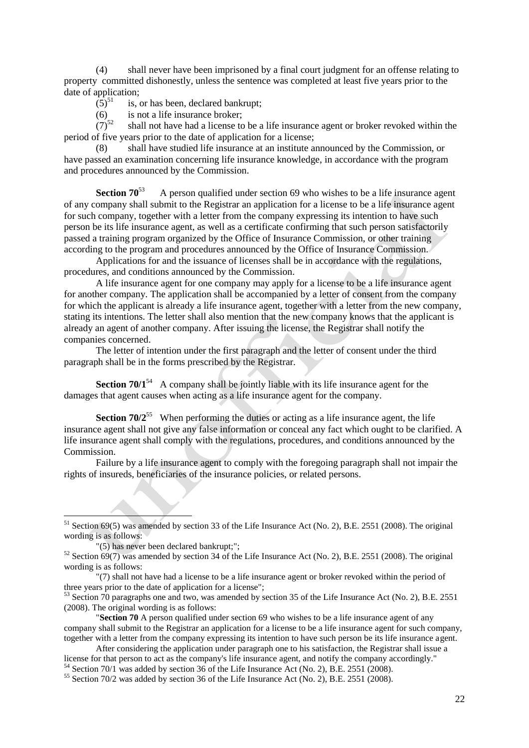(4) shall never have been imprisoned by a final court judgment for an offense relating to property committed dishonestly, unless the sentence was completed at least five years prior to the date of application;<br>(5)<sup>51</sup> is,

is, or has been, declared bankrupt;

(6) is not a life insurance broker;<br>(7)<sup>52</sup> shall not have had a license to shall not have had a license to be a life insurance agent or broker revoked within the period of five years prior to the date of application for a license;

(8) shall have studied life insurance at an institute announced by the Commission, or have passed an examination concerning life insurance knowledge, in accordance with the program and procedures announced by the Commission.

**Section**  $70^{53}$  A person qualified under section 69 who wishes to be a life insurance agent of any company shall submit to the Registrar an application for a license to be a life insurance agent for such company, together with a letter from the company expressing its intention to have such person be its life insurance agent, as well as a certificate confirming that such person satisfactorily passed a training program organized by the Office of Insurance Commission, or other training according to the program and procedures announced by the Office of Insurance Commission.

Applications for and the issuance of licenses shall be in accordance with the regulations, procedures, and conditions announced by the Commission.

A life insurance agent for one company may apply for a license to be a life insurance agent for another company. The application shall be accompanied by a letter of consent from the company for which the applicant is already a life insurance agent, together with a letter from the new company, stating its intentions. The letter shall also mention that the new company knows that the applicant is already an agent of another company. After issuing the license, the Registrar shall notify the companies concerned.

The letter of intention under the first paragraph and the letter of consent under the third paragraph shall be in the forms prescribed by the Registrar.

**Section 70/1**<sup>54</sup> A company shall be jointly liable with its life insurance agent for the damages that agent causes when acting as a life insurance agent for the company.

**Section 70/2**<sup>55</sup> When performing the duties or acting as a life insurance agent, the life insurance agent shall not give any false information or conceal any fact which ought to be clarified. A life insurance agent shall comply with the regulations, procedures, and conditions announced by the Commission.

Failure by a life insurance agent to comply with the foregoing paragraph shall not impair the rights of insureds, beneficiaries of the insurance policies, or related persons.

 $<sup>51</sup>$  Section 69(5) was amended by section 33 of the Life Insurance Act (No. 2), B.E. 2551 (2008). The original</sup> wording is as follows:

<sup>&</sup>quot;(5) has never been declared bankrupt;";

 $52$  Section 69(7) was amended by section 34 of the Life Insurance Act (No. 2), B.E. 2551 (2008). The original wording is as follows:

<sup>&</sup>quot;(7) shall not have had a license to be a life insurance agent or broker revoked within the period of three years prior to the date of application for a license";

<sup>&</sup>lt;sup>53</sup> Section 70 paragraphs one and two, was amended by section 35 of the Life Insurance Act (No. 2), B.E. 2551 (2008). The original wording is as follows:

<sup>&</sup>quot;**Section 70** A person qualified under section 69 who wishes to be a life insurance agent of any company shall submit to the Registrar an application for a license to be a life insurance agent for such company, together with a letter from the company expressing its intention to have such person be its life insurance agent.

After considering the application under paragraph one to his satisfaction, the Registrar shall issue a license for that person to act as the company's life insurance agent, and notify the company accordingly."

 $54$  Section 70/1 was added by section 36 of the Life Insurance Act (No. 2), B.E. 2551 (2008).

<sup>&</sup>lt;sup>55</sup> Section 70/2 was added by section 36 of the Life Insurance Act (No. 2), B.E. 2551 (2008).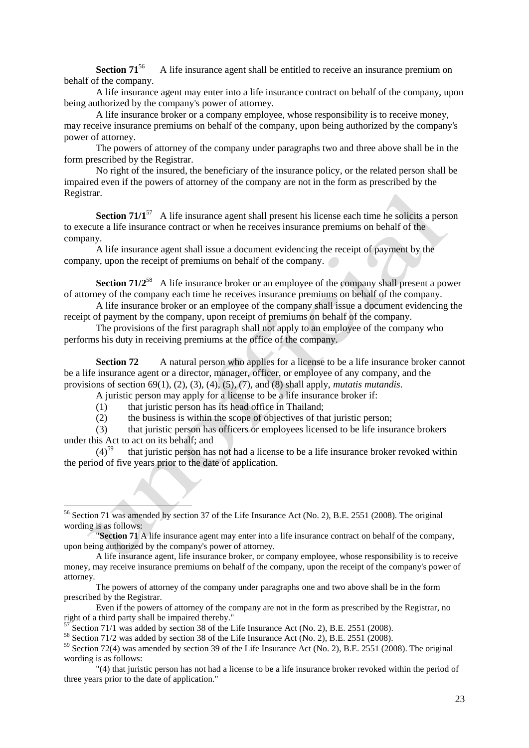**Section 71**<sup>56</sup> A life insurance agent shall be entitled to receive an insurance premium on behalf of the company.

A life insurance agent may enter into a life insurance contract on behalf of the company, upon being authorized by the company's power of attorney.

A life insurance broker or a company employee, whose responsibility is to receive money, may receive insurance premiums on behalf of the company, upon being authorized by the company's power of attorney.

The powers of attorney of the company under paragraphs two and three above shall be in the form prescribed by the Registrar.

No right of the insured, the beneficiary of the insurance policy, or the related person shall be impaired even if the powers of attorney of the company are not in the form as prescribed by the Registrar.

**Section 71/1**<sup>57</sup> A life insurance agent shall present his license each time he solicits a person to execute a life insurance contract or when he receives insurance premiums on behalf of the company.

A life insurance agent shall issue a document evidencing the receipt of payment by the company, upon the receipt of premiums on behalf of the company.

**Section 71/2<sup>58</sup>** A life insurance broker or an employee of the company shall present a power of attorney of the company each time he receives insurance premiums on behalf of the company.

A life insurance broker or an employee of the company shall issue a document evidencing the receipt of payment by the company, upon receipt of premiums on behalf of the company.

The provisions of the first paragraph shall not apply to an employee of the company who performs his duty in receiving premiums at the office of the company.

**Section 72** A natural person who applies for a license to be a life insurance broker cannot be a life insurance agent or a director, manager, officer, or employee of any company, and the provisions of section 69(1), (2), (3), (4), (5), (7), and (8) shall apply, *mutatis mutandis*.

A juristic person may apply for a license to be a life insurance broker if:

(1) that juristic person has its head office in Thailand;

1

(2) the business is within the scope of objectives of that juristic person;

(3) that juristic person has officers or employees licensed to be life insurance brokers under this Act to act on its behalf; and<br> $(4)^{59}$  that juristic person has

that juristic person has not had a license to be a life insurance broker revoked within the period of five years prior to the date of application.

Even if the powers of attorney of the company are not in the form as prescribed by the Registrar, no right of a third party shall be impaired thereby."

 $\overline{5}$  Section 71/1 was added by section 38 of the Life Insurance Act (No. 2), B.E. 2551 (2008).

 $58$  Section 71/2 was added by section 38 of the Life Insurance Act (No. 2), B.E. 2551 (2008).

<sup>59</sup> Section 72(4) was amended by section 39 of the Life Insurance Act (No. 2), B.E. 2551 (2008). The original wording is as follows:

"(4) that juristic person has not had a license to be a life insurance broker revoked within the period of three years prior to the date of application."

<sup>&</sup>lt;sup>56</sup> Section 71 was amended by section 37 of the Life Insurance Act (No. 2), B.E. 2551 (2008). The original wording is as follows:

<sup>&</sup>quot;**Section 71** A life insurance agent may enter into a life insurance contract on behalf of the company, upon being authorized by the company's power of attorney.

A life insurance agent, life insurance broker, or company employee, whose responsibility is to receive money, may receive insurance premiums on behalf of the company, upon the receipt of the company's power of attorney.

The powers of attorney of the company under paragraphs one and two above shall be in the form prescribed by the Registrar.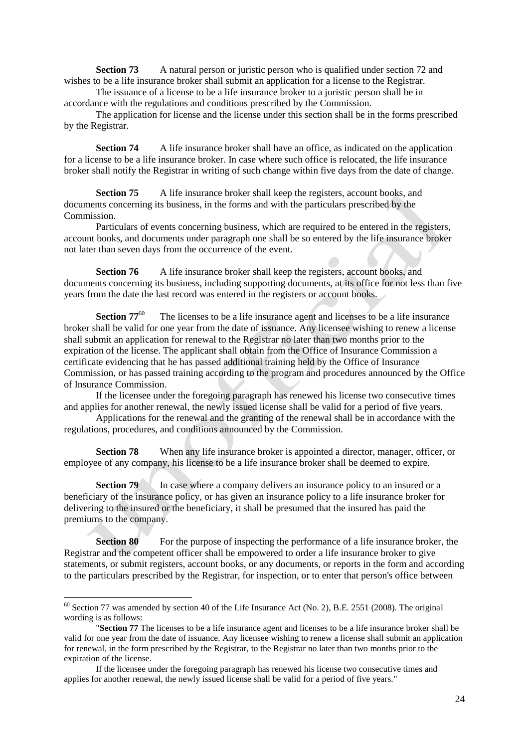**Section 73** A natural person or juristic person who is qualified under section 72 and wishes to be a life insurance broker shall submit an application for a license to the Registrar.

The issuance of a license to be a life insurance broker to a juristic person shall be in accordance with the regulations and conditions prescribed by the Commission.

The application for license and the license under this section shall be in the forms prescribed by the Registrar.

**Section 74** A life insurance broker shall have an office, as indicated on the application for a license to be a life insurance broker. In case where such office is relocated, the life insurance broker shall notify the Registrar in writing of such change within five days from the date of change.

**Section 75** A life insurance broker shall keep the registers, account books, and documents concerning its business, in the forms and with the particulars prescribed by the Commission.

Particulars of events concerning business, which are required to be entered in the registers, account books, and documents under paragraph one shall be so entered by the life insurance broker not later than seven days from the occurrence of the event.

**Section 76** A life insurance broker shall keep the registers, account books, and documents concerning its business, including supporting documents, at its office for not less than five years from the date the last record was entered in the registers or account books.

**Section**  $77^{60}$  The licenses to be a life insurance agent and licenses to be a life insurance broker shall be valid for one year from the date of issuance. Any licensee wishing to renew a license shall submit an application for renewal to the Registrar no later than two months prior to the expiration of the license. The applicant shall obtain from the Office of Insurance Commission a certificate evidencing that he has passed additional training held by the Office of Insurance Commission, or has passed training according to the program and procedures announced by the Office of Insurance Commission.

If the licensee under the foregoing paragraph has renewed his license two consecutive times and applies for another renewal, the newly issued license shall be valid for a period of five years.

Applications for the renewal and the granting of the renewal shall be in accordance with the regulations, procedures, and conditions announced by the Commission.

**Section 78** When any life insurance broker is appointed a director, manager, officer, or employee of any company, his license to be a life insurance broker shall be deemed to expire.

**Section 79** In case where a company delivers an insurance policy to an insured or a beneficiary of the insurance policy, or has given an insurance policy to a life insurance broker for delivering to the insured or the beneficiary, it shall be presumed that the insured has paid the premiums to the company.

**Section 80** For the purpose of inspecting the performance of a life insurance broker, the Registrar and the competent officer shall be empowered to order a life insurance broker to give statements, or submit registers, account books, or any documents, or reports in the form and according to the particulars prescribed by the Registrar, for inspection, or to enter that person's office between

 $60$  Section 77 was amended by section 40 of the Life Insurance Act (No. 2), B.E. 2551 (2008). The original wording is as follows:

<sup>&</sup>quot;**Section 77** The licenses to be a life insurance agent and licenses to be a life insurance broker shall be valid for one year from the date of issuance. Any licensee wishing to renew a license shall submit an application for renewal, in the form prescribed by the Registrar, to the Registrar no later than two months prior to the expiration of the license.

If the licensee under the foregoing paragraph has renewed his license two consecutive times and applies for another renewal, the newly issued license shall be valid for a period of five years."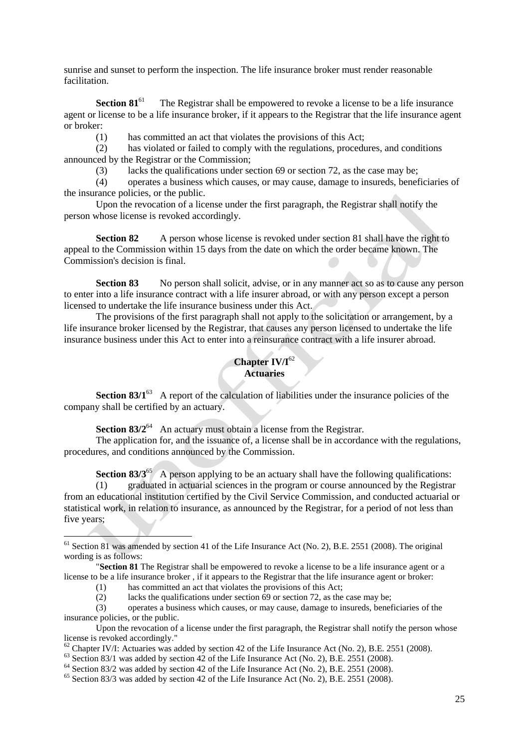sunrise and sunset to perform the inspection. The life insurance broker must render reasonable facilitation.

**Section 81<sup>61</sup>** The Registrar shall be empowered to revoke a license to be a life insurance agent or license to be a life insurance broker, if it appears to the Registrar that the life insurance agent or broker:

(1) has committed an act that violates the provisions of this Act;

(2) has violated or failed to comply with the regulations, procedures, and conditions announced by the Registrar or the Commission;

(3) lacks the qualifications under section 69 or section 72, as the case may be;

(4) operates a business which causes, or may cause, damage to insureds, beneficiaries of the insurance policies, or the public.

Upon the revocation of a license under the first paragraph, the Registrar shall notify the person whose license is revoked accordingly.

**Section 82** A person whose license is revoked under section 81 shall have the right to appeal to the Commission within 15 days from the date on which the order became known. The Commission's decision is final.

**Section 83** No person shall solicit, advise, or in any manner act so as to cause any person to enter into a life insurance contract with a life insurer abroad, or with any person except a person licensed to undertake the life insurance business under this Act.

The provisions of the first paragraph shall not apply to the solicitation or arrangement, by a life insurance broker licensed by the Registrar, that causes any person licensed to undertake the life insurance business under this Act to enter into a reinsurance contract with a life insurer abroad.

# **Chapter IV/I**<sup>62</sup> **Actuaries**

**Section 83/1<sup>63</sup>** A report of the calculation of liabilities under the insurance policies of the company shall be certified by an actuary.

**Section 83/2<sup>64</sup>** An actuary must obtain a license from the Registrar.

The application for, and the issuance of, a license shall be in accordance with the regulations, procedures, and conditions announced by the Commission.

**Section 83/3**<sup>65</sup> A person applying to be an actuary shall have the following qualifications: (1) graduated in actuarial sciences in the program or course announced by the Registrar from an educational institution certified by the Civil Service Commission, and conducted actuarial or statistical work, in relation to insurance, as announced by the Registrar, for a period of not less than five years;

 $61$  Section 81 was amended by section 41 of the Life Insurance Act (No. 2), B.E. 2551 (2008). The original wording is as follows:

<sup>&</sup>quot;**Section 81** The Registrar shall be empowered to revoke a license to be a life insurance agent or a license to be a life insurance broker , if it appears to the Registrar that the life insurance agent or broker:

<sup>(1)</sup> has committed an act that violates the provisions of this Act;

<sup>(2)</sup> lacks the qualifications under section  $\overline{69}$  or section 72, as the case may be;

<sup>(3)</sup> operates a business which causes, or may cause, damage to insureds, beneficiaries of the insurance policies, or the public.

Upon the revocation of a license under the first paragraph, the Registrar shall notify the person whose license is revoked accordingly."

 $62$  Chapter IV/I: Actuaries was added by section 42 of the Life Insurance Act (No. 2), B.E. 2551 (2008).

 $63$  Section 83/1 was added by section 42 of the Life Insurance Act (No. 2), B.E. 2551 (2008).

 $64$  Section 83/2 was added by section 42 of the Life Insurance Act (No. 2), B.E. 2551 (2008).

 $65$  Section 83/3 was added by section 42 of the Life Insurance Act (No. 2), B.E. 2551 (2008).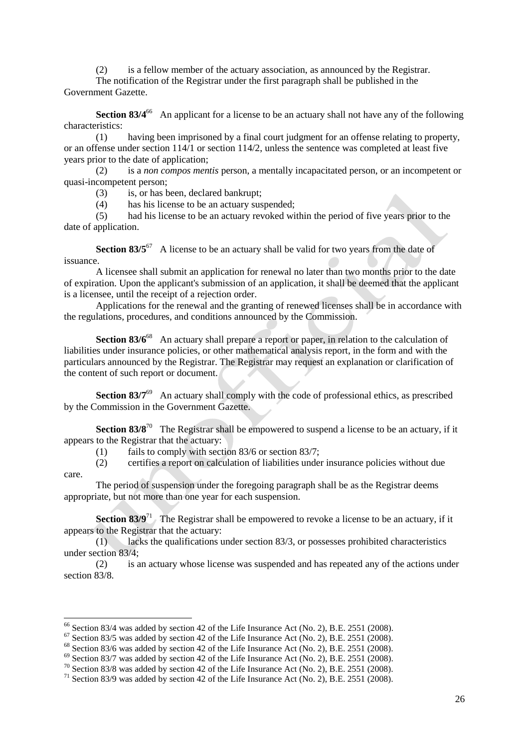(2) is a fellow member of the actuary association, as announced by the Registrar.

The notification of the Registrar under the first paragraph shall be published in the Government Gazette.

**Section 83/4<sup>66</sup>** An applicant for a license to be an actuary shall not have any of the following characteristics:

(1) having been imprisoned by a final court judgment for an offense relating to property, or an offense under section 114/1 or section 114/2, unless the sentence was completed at least five years prior to the date of application;

(2) is a *non compos mentis* person, a mentally incapacitated person, or an incompetent or quasi-incompetent person;

(3) is, or has been, declared bankrupt;

(4) has his license to be an actuary suspended;

(5) had his license to be an actuary revoked within the period of five years prior to the date of application.

**Section 83/5<sup>67</sup>** A license to be an actuary shall be valid for two years from the date of issuance.

A licensee shall submit an application for renewal no later than two months prior to the date of expiration. Upon the applicant's submission of an application, it shall be deemed that the applicant is a licensee, until the receipt of a rejection order.

Applications for the renewal and the granting of renewed licenses shall be in accordance with the regulations, procedures, and conditions announced by the Commission.

**Section 83/6<sup>68</sup>** An actuary shall prepare a report or paper, in relation to the calculation of liabilities under insurance policies, or other mathematical analysis report, in the form and with the particulars announced by the Registrar. The Registrar may request an explanation or clarification of the content of such report or document.

**Section 83/7<sup>69</sup>** An actuary shall comply with the code of professional ethics, as prescribed by the Commission in the Government Gazette.

**Section 83/8<sup>70</sup>** The Registrar shall be empowered to suspend a license to be an actuary, if it appears to the Registrar that the actuary:

(1) fails to comply with section 83/6 or section 83/7;

(2) certifies a report on calculation of liabilities under insurance policies without due care.

The period of suspension under the foregoing paragraph shall be as the Registrar deems appropriate, but not more than one year for each suspension.

**Section 83/9<sup>71</sup>** The Registrar shall be empowered to revoke a license to be an actuary, if it appears to the Registrar that the actuary:

(1) lacks the qualifications under section 83/3, or possesses prohibited characteristics under section 83/4;

(2) is an actuary whose license was suspended and has repeated any of the actions under section 83/8.

 $66$  Section 83/4 was added by section 42 of the Life Insurance Act (No. 2), B.E. 2551 (2008).

 $67$  Section 83/5 was added by section 42 of the Life Insurance Act (No. 2), B.E. 2551 (2008).

 $68$  Section 83/6 was added by section 42 of the Life Insurance Act (No. 2), B.E. 2551 (2008).

 $69$  Section 83/7 was added by section 42 of the Life Insurance Act (No. 2), B.E. 2551 (2008).

 $70$  Section 83/8 was added by section 42 of the Life Insurance Act (No. 2), B.E. 2551 (2008).

 $71$  Section 83/9 was added by section 42 of the Life Insurance Act (No. 2), B.E. 2551 (2008).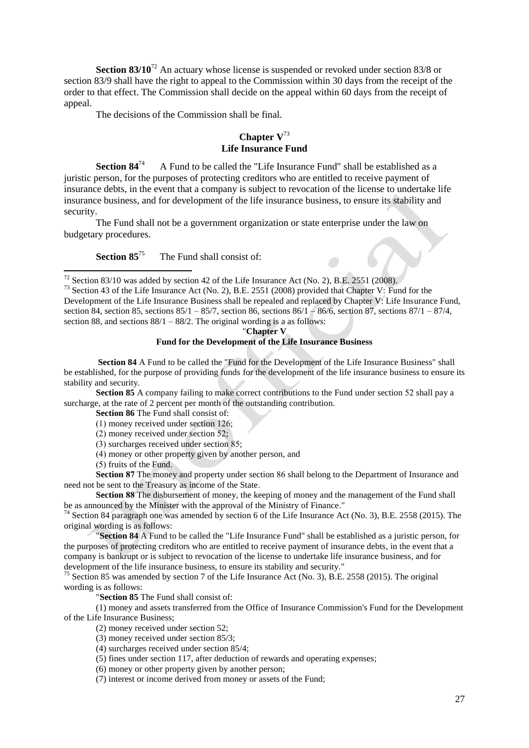**Section 83/10<sup>72</sup>** An actuary whose license is suspended or revoked under section 83/8 or section 83/9 shall have the right to appeal to the Commission within 30 days from the receipt of the order to that effect. The Commission shall decide on the appeal within 60 days from the receipt of appeal.

The decisions of the Commission shall be final.

## **Chapter V**<sup>73</sup> **Life Insurance Fund**

**Section 84<sup>74</sup>** A Fund to be called the "Life Insurance Fund" shall be established as a juristic person, for the purposes of protecting creditors who are entitled to receive payment of insurance debts, in the event that a company is subject to revocation of the license to undertake life insurance business, and for development of the life insurance business, to ensure its stability and security.

The Fund shall not be a government organization or state enterprise under the law on budgetary procedures.

**Section 85<sup>75</sup>** The Fund shall consist of:

"**Chapter V**

**Fund for the Development of the Life Insurance Business**

**Section 84** A Fund to be called the "Fund for the Development of the Life Insurance Business" shall be established, for the purpose of providing funds for the development of the life insurance business to ensure its stability and security.

**Section 85** A company failing to make correct contributions to the Fund under section 52 shall pay a surcharge, at the rate of 2 percent per month of the outstanding contribution.

**Section 86** The Fund shall consist of:

 $(1)$  money received under section 126:

 $(2)$  money received under section 52;

(3) surcharges received under section 85;

)4( money or other property given by another person, and

 $(5)$  fruits of the Fund.

1

**Section 87** The money and property under section 86 shall belong to the Department of Insurance and need not be sent to the Treasury as income of the State.

**Section 88** The disbursement of money, the keeping of money and the management of the Fund shall be as announced by the Minister with the approval of the Ministry of Finance."

<sup>74</sup> Section 84 paragraph one was amended by section 6 of the Life Insurance Act (No. 3), B.E. 2558 (2015). The original wording is as follows:

"**Section 84** A Fund to be called the "Life Insurance Fund" shall be established as a juristic person, for the purposes of protecting creditors who are entitled to receive payment of insurance debts, in the event that a company is bankrupt or is subject to revocation of the license to undertake life insurance business, and for development of the life insurance business, to ensure its stability and security."

<sup>75</sup> Section 85 was amended by section 7 of the Life Insurance Act (No. 3), B.E. 2558 (2015). The original wording is as follows:

"**Section 85** The Fund shall consist of:

(1) money and assets transferred from the Office of Insurance Commission's Fund for the Development of the Life Insurance Business;

(2) money received under section 52;

(3) money received under section 85/3;

(4) surcharges received under section 85/4;

(5) fines under section 117, after deduction of rewards and operating expenses;

(6) money or other property given by another person;

(7) interest or income derived from money or assets of the Fund;

 $^{72}$  Section 83/10 was added by section 42 of the Life Insurance Act (No. 2), B.E. 2551 (2008).

<sup>73</sup> Section 43 of the Life Insurance Act (No. 2), B.E. 2551 (2008) provided that Chapter V: Fund for the Development of the Life Insurance Business shall be repealed and replaced by Chapter V: Life Insurance Fund, section 84, section 85, sections  $85/1 - 85/7$ , section 86, sections  $86/1 - 86/6$ , section 87, sections  $87/1 - 87/4$ , section 88, and sections  $88/1 - 88/2$ . The original wording is a as follows: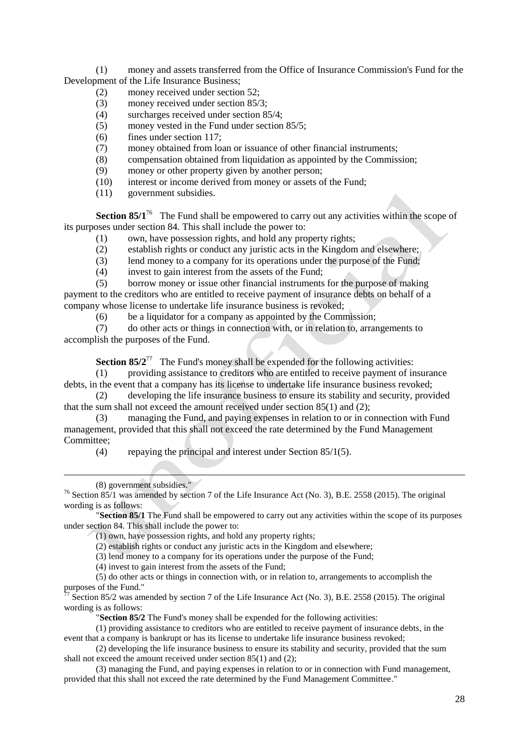(1) money and assets transferred from the Office of Insurance Commission's Fund for the Development of the Life Insurance Business;

- (2) money received under section 52;
- (3) money received under section 85/3;
- (4) surcharges received under section 85/4;
- (5) money vested in the Fund under section 85/5;
- (6) fines under section 117;
- (7) money obtained from loan or issuance of other financial instruments;
- (8) compensation obtained from liquidation as appointed by the Commission;
- (9) money or other property given by another person;
- (10) interest or income derived from money or assets of the Fund;
- (11) government subsidies.

**Section 85/1<sup>76</sup>** The Fund shall be empowered to carry out any activities within the scope of its purposes under section 84. This shall include the power to:

- (1) own, have possession rights, and hold any property rights;
- (2) establish rights or conduct any juristic acts in the Kingdom and elsewhere;
- (3) lend money to a company for its operations under the purpose of the Fund;
- (4) invest to gain interest from the assets of the Fund;

(5) borrow money or issue other financial instruments for the purpose of making payment to the creditors who are entitled to receive payment of insurance debts on behalf of a company whose license to undertake life insurance business is revoked;

 $(6)$  be a liquidator for a company as appointed by the Commission;

(7) do other acts or things in connection with, or in relation to, arrangements to accomplish the purposes of the Fund.

**Section 85/2<sup>77</sup>** The Fund's money shall be expended for the following activities:

(1) providing assistance to creditors who are entitled to receive payment of insurance debts, in the event that a company has its license to undertake life insurance business revoked;

(2) developing the life insurance business to ensure its stability and security, provided that the sum shall not exceed the amount received under section 85(1) and (2);

(3) managing the Fund, and paying expenses in relation to or in connection with Fund management, provided that this shall not exceed the rate determined by the Fund Management Committee;

(4) repaying the principal and interest under Section 85/1(5).

-

"**Section 85/1** The Fund shall be empowered to carry out any activities within the scope of its purposes under section 84. This shall include the power to:

(1) own, have possession rights, and hold any property rights;

(2) establish rights or conduct any juristic acts in the Kingdom and elsewhere;

(3) lend money to a company for its operations under the purpose of the Fund;

(4) invest to gain interest from the assets of the Fund;

(5) do other acts or things in connection with, or in relation to, arrangements to accomplish the purposes of the Fund."

 $7\text{ Section }85/2$  was amended by section 7 of the Life Insurance Act (No. 3), B.E. 2558 (2015). The original wording is as follows:

"**Section 85/2** The Fund's money shall be expended for the following activities:

(1) providing assistance to creditors who are entitled to receive payment of insurance debts, in the event that a company is bankrupt or has its license to undertake life insurance business revoked;

(2) developing the life insurance business to ensure its stability and security, provided that the sum shall not exceed the amount received under section 85(1) and (2);

(3) managing the Fund, and paying expenses in relation to or in connection with Fund management, provided that this shall not exceed the rate determined by the Fund Management Committee."

<sup>(8)</sup> government subsidies."

<sup>&</sup>lt;sup>76</sup> Section 85/1 was amended by section 7 of the Life Insurance Act (No. 3), B.E. 2558 (2015). The original wording is as follows: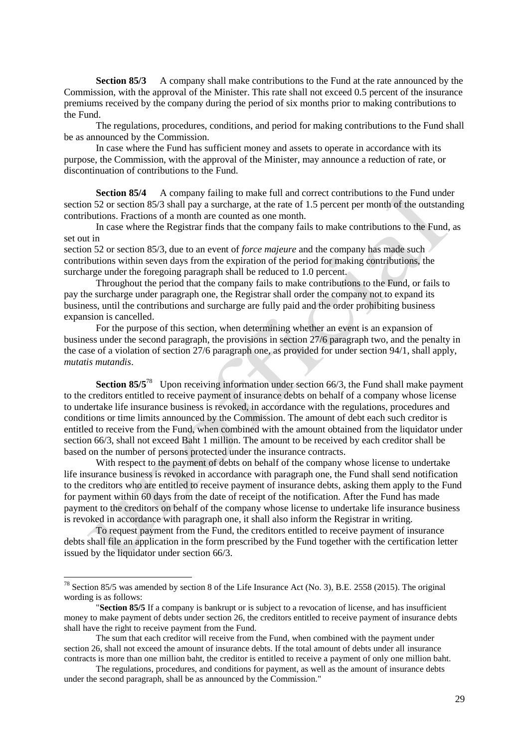**Section 85/3** A company shall make contributions to the Fund at the rate announced by the Commission, with the approval of the Minister. This rate shall not exceed 0.5 percent of the insurance premiums received by the company during the period of six months prior to making contributions to the Fund.

The regulations, procedures, conditions, and period for making contributions to the Fund shall be as announced by the Commission.

In case where the Fund has sufficient money and assets to operate in accordance with its purpose, the Commission, with the approval of the Minister, may announce a reduction of rate, or discontinuation of contributions to the Fund.

**Section 85/4** A company failing to make full and correct contributions to the Fund under section 52 or section 85/3 shall pay a surcharge, at the rate of 1.5 percent per month of the outstanding contributions. Fractions of a month are counted as one month.

In case where the Registrar finds that the company fails to make contributions to the Fund, as set out in

section 52 or section 85/3, due to an event of *force majeure* and the company has made such contributions within seven days from the expiration of the period for making contributions, the surcharge under the foregoing paragraph shall be reduced to 1.0 percent.

Throughout the period that the company fails to make contributions to the Fund, or fails to pay the surcharge under paragraph one, the Registrar shall order the company not to expand its business, until the contributions and surcharge are fully paid and the order prohibiting business expansion is cancelled.

For the purpose of this section, when determining whether an event is an expansion of business under the second paragraph, the provisions in section 27/6 paragraph two, and the penalty in the case of a violation of section 27/6 paragraph one, as provided for under section 94/1, shall apply, *mutatis mutandis*.

**Section 85/5<sup>78</sup>** Upon receiving information under section 66/3, the Fund shall make payment to the creditors entitled to receive payment of insurance debts on behalf of a company whose license to undertake life insurance business is revoked, in accordance with the regulations, procedures and conditions or time limits announced by the Commission. The amount of debt each such creditor is entitled to receive from the Fund, when combined with the amount obtained from the liquidator under section 66/3, shall not exceed Baht 1 million. The amount to be received by each creditor shall be based on the number of persons protected under the insurance contracts.

With respect to the payment of debts on behalf of the company whose license to undertake life insurance business is revoked in accordance with paragraph one, the Fund shall send notification to the creditors who are entitled to receive payment of insurance debts, asking them apply to the Fund for payment within 60 days from the date of receipt of the notification. After the Fund has made payment to the creditors on behalf of the company whose license to undertake life insurance business is revoked in accordance with paragraph one, it shall also inform the Registrar in writing.

To request payment from the Fund, the creditors entitled to receive payment of insurance debts shall file an application in the form prescribed by the Fund together with the certification letter issued by the liquidator under section 66/3.

 $^{78}$  Section 85/5 was amended by section 8 of the Life Insurance Act (No. 3), B.E. 2558 (2015). The original wording is as follows:

<sup>&</sup>quot;**Section 85/5** If a company is bankrupt or is subject to a revocation of license, and has insufficient money to make payment of debts under section 26, the creditors entitled to receive payment of insurance debts shall have the right to receive payment from the Fund.

The sum that each creditor will receive from the Fund, when combined with the payment under section 26, shall not exceed the amount of insurance debts. If the total amount of debts under all insurance contracts is more than one million baht, the creditor is entitled to receive a payment of only one million baht.

The regulations, procedures, and conditions for payment, as well as the amount of insurance debts under the second paragraph, shall be as announced by the Commission."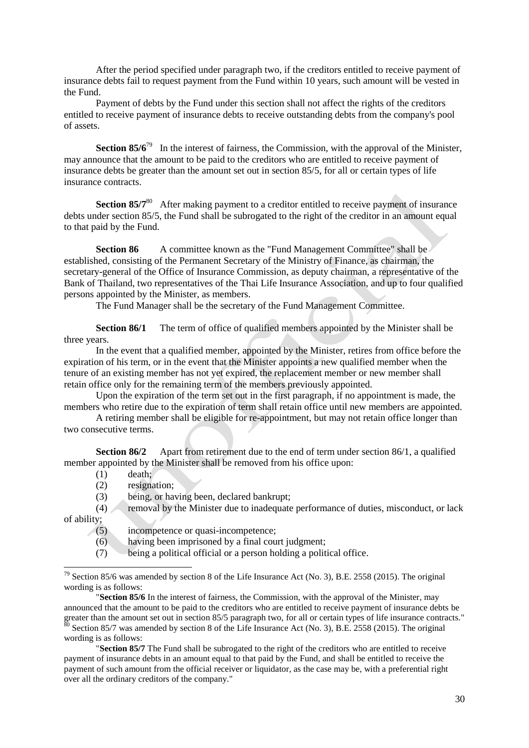After the period specified under paragraph two, if the creditors entitled to receive payment of insurance debts fail to request payment from the Fund within 10 years, such amount will be vested in the Fund.

Payment of debts by the Fund under this section shall not affect the rights of the creditors entitled to receive payment of insurance debts to receive outstanding debts from the company's pool of assets.

**Section 85/6<sup>79</sup>** In the interest of fairness, the Commission, with the approval of the Minister, may announce that the amount to be paid to the creditors who are entitled to receive payment of insurance debts be greater than the amount set out in section 85/5, for all or certain types of life insurance contracts.

**Section 85/7<sup>80</sup>** After making payment to a creditor entitled to receive payment of insurance debts under section 85/5, the Fund shall be subrogated to the right of the creditor in an amount equal to that paid by the Fund.

**Section 86** A committee known as the "Fund Management Committee" shall be established, consisting of the Permanent Secretary of the Ministry of Finance, as chairman, the secretary-general of the Office of Insurance Commission, as deputy chairman, a representative of the Bank of Thailand, two representatives of the Thai Life Insurance Association, and up to four qualified persons appointed by the Minister, as members.

The Fund Manager shall be the secretary of the Fund Management Committee.

**Section 86/1** The term of office of qualified members appointed by the Minister shall be three years.

In the event that a qualified member, appointed by the Minister, retires from office before the expiration of his term, or in the event that the Minister appoints a new qualified member when the tenure of an existing member has not yet expired, the replacement member or new member shall retain office only for the remaining term of the members previously appointed.

Upon the expiration of the term set out in the first paragraph, if no appointment is made, the members who retire due to the expiration of term shall retain office until new members are appointed.

A retiring member shall be eligible for re-appointment, but may not retain office longer than two consecutive terms.

**Section 86/2** Apart from retirement due to the end of term under section 86/1, a qualified member appointed by the Minister shall be removed from his office upon:

(1) death;

1

- (2) resignation;
- (3) being, or having been, declared bankrupt;
- (4) removal by the Minister due to inadequate performance of duties, misconduct, or lack of ability;
	- (5) incompetence or quasi-incompetence;
	- (6) having been imprisoned by a final court judgment;
	- (7) being a political official or a person holding a political office.

"**Section 85/6** In the interest of fairness, the Commission, with the approval of the Minister, may announced that the amount to be paid to the creditors who are entitled to receive payment of insurance debts be greater than the amount set out in section 85/5 paragraph two, for all or certain types of life insurance contracts."  $80$  Section 85/7 was amended by section 8 of the Life Insurance Act (No. 3), B.E. 2558 (2015). The original wording is as follows:

"**Section 85/7** The Fund shall be subrogated to the right of the creditors who are entitled to receive payment of insurance debts in an amount equal to that paid by the Fund, and shall be entitled to receive the payment of such amount from the official receiver or liquidator, as the case may be, with a preferential right over all the ordinary creditors of the company."

 $79$  Section 85/6 was amended by section 8 of the Life Insurance Act (No. 3), B.E. 2558 (2015). The original wording is as follows: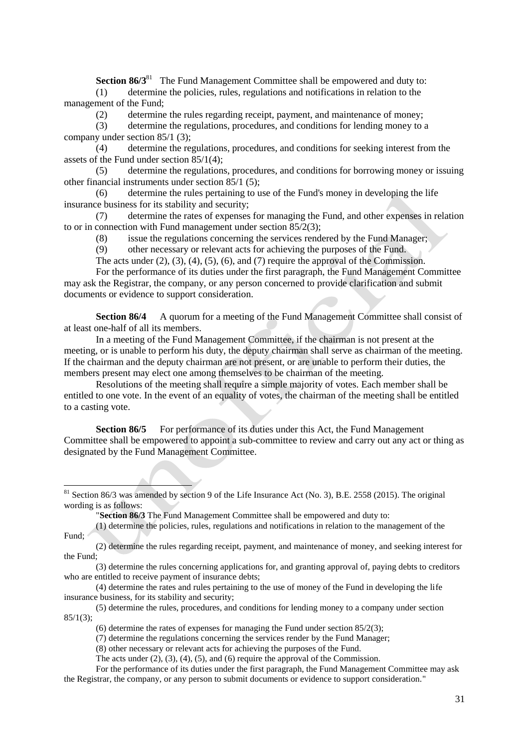**Section 86/3<sup>81</sup>** The Fund Management Committee shall be empowered and duty to: (1) determine the policies, rules, regulations and notifications in relation to the management of the Fund;

(2) determine the rules regarding receipt, payment, and maintenance of money;

(3) determine the regulations, procedures, and conditions for lending money to a company under section 85/1 (3);

(4) determine the regulations, procedures, and conditions for seeking interest from the assets of the Fund under section 85/1(4);

(5) determine the regulations, procedures, and conditions for borrowing money or issuing other financial instruments under section 85/1 (5);

(6) determine the rules pertaining to use of the Fund's money in developing the life insurance business for its stability and security;

(7) determine the rates of expenses for managing the Fund, and other expenses in relation to or in connection with Fund management under section 85/2(3);

(8) issue the regulations concerning the services rendered by the Fund Manager;

(9) other necessary or relevant acts for achieving the purposes of the Fund.

The acts under (2), (3), (4), (5), (6), and (7) require the approval of the Commission.

For the performance of its duties under the first paragraph, the Fund Management Committee may ask the Registrar, the company, or any person concerned to provide clarification and submit documents or evidence to support consideration.

**Section 86/4** A quorum for a meeting of the Fund Management Committee shall consist of at least one-half of all its members.

In a meeting of the Fund Management Committee, if the chairman is not present at the meeting, or is unable to perform his duty, the deputy chairman shall serve as chairman of the meeting. If the chairman and the deputy chairman are not present, or are unable to perform their duties, the members present may elect one among themselves to be chairman of the meeting.

Resolutions of the meeting shall require a simple majority of votes. Each member shall be entitled to one vote. In the event of an equality of votes, the chairman of the meeting shall be entitled to a casting vote.

**Section 86/5** For performance of its duties under this Act, the Fund Management Committee shall be empowered to appoint a sub-committee to review and carry out any act or thing as designated by the Fund Management Committee.

"**Section 86/3** The Fund Management Committee shall be empowered and duty to:

1

(1) determine the policies, rules, regulations and notifications in relation to the management of the Fund;

(3) determine the rules concerning applications for, and granting approval of, paying debts to creditors who are entitled to receive payment of insurance debts;

(4) determine the rates and rules pertaining to the use of money of the Fund in developing the life insurance business, for its stability and security;

(6) determine the rates of expenses for managing the Fund under section  $85/2(3)$ ;

(7) determine the regulations concerning the services render by the Fund Manager;

(8) other necessary or relevant acts for achieving the purposes of the Fund.

The acts under (2), (3), (4), (5), and (6) require the approval of the Commission.

For the performance of its duties under the first paragraph, the Fund Management Committee may ask the Registrar, the company, or any person to submit documents or evidence to support consideration."

 $81$  Section 86/3 was amended by section 9 of the Life Insurance Act (No. 3), B.E. 2558 (2015). The original wording is as follows:

<sup>(2)</sup> determine the rules regarding receipt, payment, and maintenance of money, and seeking interest for the Fund;

<sup>(5)</sup> determine the rules, procedures, and conditions for lending money to a company under section  $85/1(3);$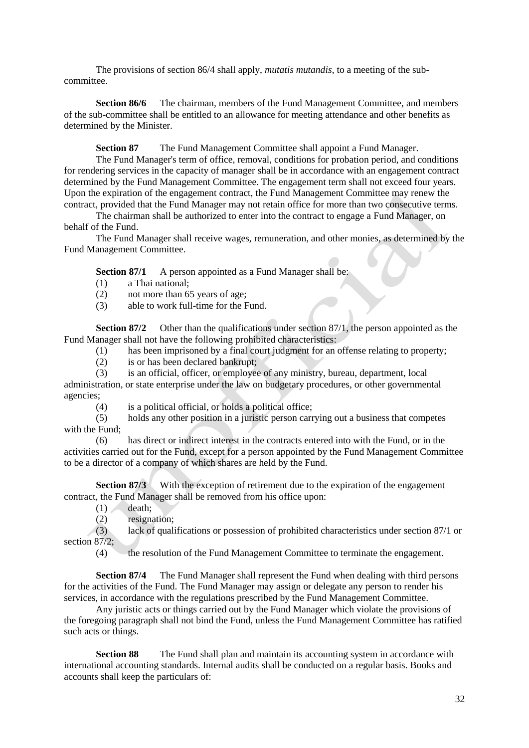The provisions of section 86/4 shall apply, *mutatis mutandis*, to a meeting of the subcommittee.

**Section 86/6** The chairman, members of the Fund Management Committee, and members of the sub-committee shall be entitled to an allowance for meeting attendance and other benefits as determined by the Minister.

**Section 87** The Fund Management Committee shall appoint a Fund Manager.

The Fund Manager's term of office, removal, conditions for probation period, and conditions for rendering services in the capacity of manager shall be in accordance with an engagement contract determined by the Fund Management Committee. The engagement term shall not exceed four years. Upon the expiration of the engagement contract, the Fund Management Committee may renew the contract, provided that the Fund Manager may not retain office for more than two consecutive terms.

The chairman shall be authorized to enter into the contract to engage a Fund Manager, on behalf of the Fund.

The Fund Manager shall receive wages, remuneration, and other monies, as determined by the Fund Management Committee.

**Section 87/1** A person appointed as a Fund Manager shall be:

- (1) a Thai national;
- (2) not more than 65 years of age;
- (3) able to work full-time for the Fund.

**Section 87/2** Other than the qualifications under section 87/1, the person appointed as the Fund Manager shall not have the following prohibited characteristics:

(1) has been imprisoned by a final court judgment for an offense relating to property;

- (2) is or has been declared bankrupt;
- (3) is an official, officer, or employee of any ministry, bureau, department, local

administration, or state enterprise under the law on budgetary procedures, or other governmental agencies;

(4) is a political official, or holds a political office;

(5) holds any other position in a juristic person carrying out a business that competes with the Fund;

(6) has direct or indirect interest in the contracts entered into with the Fund, or in the activities carried out for the Fund, except for a person appointed by the Fund Management Committee to be a director of a company of which shares are held by the Fund.

**Section 87/3** With the exception of retirement due to the expiration of the engagement contract, the Fund Manager shall be removed from his office upon:

- $(1)$  death:
- (2) resignation;

(3) lack of qualifications or possession of prohibited characteristics under section 87/1 or section 87/2:

(4) the resolution of the Fund Management Committee to terminate the engagement.

**Section 87/4** The Fund Manager shall represent the Fund when dealing with third persons for the activities of the Fund. The Fund Manager may assign or delegate any person to render his services, in accordance with the regulations prescribed by the Fund Management Committee.

Any juristic acts or things carried out by the Fund Manager which violate the provisions of the foregoing paragraph shall not bind the Fund, unless the Fund Management Committee has ratified such acts or things.

**Section 88** The Fund shall plan and maintain its accounting system in accordance with international accounting standards. Internal audits shall be conducted on a regular basis. Books and accounts shall keep the particulars of: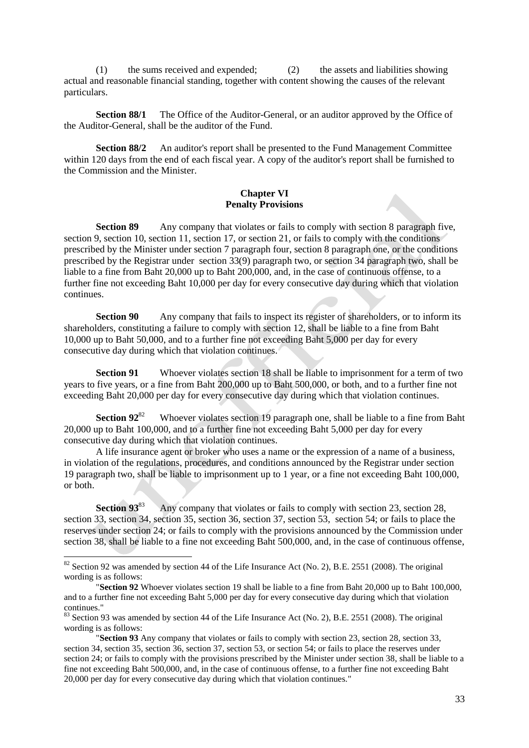(1) the sums received and expended; (2) the assets and liabilities showing actual and reasonable financial standing, together with content showing the causes of the relevant particulars.

**Section 88/1** The Office of the Auditor-General, or an auditor approved by the Office of the Auditor-General, shall be the auditor of the Fund.

**Section 88/2** An auditor's report shall be presented to the Fund Management Committee within 120 days from the end of each fiscal year. A copy of the auditor's report shall be furnished to the Commission and the Minister.

### **Chapter VI Penalty Provisions**

**Section 89** Any company that violates or fails to comply with section 8 paragraph five, section 9, section 10, section 11, section 17, or section 21, or fails to comply with the conditions prescribed by the Minister under section 7 paragraph four, section 8 paragraph one, or the conditions prescribed by the Registrar under section 33(9) paragraph two, or section 34 paragraph two, shall be liable to a fine from Baht 20,000 up to Baht 200,000, and, in the case of continuous offense, to a further fine not exceeding Baht 10,000 per day for every consecutive day during which that violation continues.

**Section 90** Any company that fails to inspect its register of shareholders, or to inform its shareholders, constituting a failure to comply with section 12, shall be liable to a fine from Baht 10,000 up to Baht 50,000, and to a further fine not exceeding Baht 5,000 per day for every consecutive day during which that violation continues.

**Section 91** Whoever violates section 18 shall be liable to imprisonment for a term of two years to five years, or a fine from Baht 200,000 up to Baht 500,000, or both, and to a further fine not exceeding Baht 20,000 per day for every consecutive day during which that violation continues.

**Section 92**<sup>82</sup> Whoever violates section 19 paragraph one, shall be liable to a fine from Baht 20,000 up to Baht 100,000, and to a further fine not exceeding Baht 5,000 per day for every consecutive day during which that violation continues.

A life insurance agent or broker who uses a name or the expression of a name of a business, in violation of the regulations, procedures, and conditions announced by the Registrar under section 19 paragraph two, shall be liable to imprisonment up to 1 year, or a fine not exceeding Baht 100,000, or both.

**Section 93**<sup>83</sup> Any company that violates or fails to comply with section 23, section 28, section 33, section 34, section 35, section 36, section 37, section 53, section 54; or fails to place the reserves under section 24; or fails to comply with the provisions announced by the Commission under section 38, shall be liable to a fine not exceeding Baht 500,000, and, in the case of continuous offense,

 $82$  Section 92 was amended by section 44 of the Life Insurance Act (No. 2), B.E. 2551 (2008). The original wording is as follows:

<sup>&</sup>quot;**Section 92** Whoever violates section 19 shall be liable to a fine from Baht 20,000 up to Baht 100,000, and to a further fine not exceeding Baht 5,000 per day for every consecutive day during which that violation continues."

<sup>&</sup>lt;sup>83</sup> Section 93 was amended by section 44 of the Life Insurance Act (No. 2), B.E. 2551 (2008). The original wording is as follows:

<sup>&</sup>quot;**Section 93** Any company that violates or fails to comply with section 23, section 28, section 33, section 34, section 35, section 36, section 37, section 53, or section 54; or fails to place the reserves under section 24; or fails to comply with the provisions prescribed by the Minister under section 38, shall be liable to a fine not exceeding Baht 500,000, and, in the case of continuous offense, to a further fine not exceeding Baht 20,000 per day for every consecutive day during which that violation continues."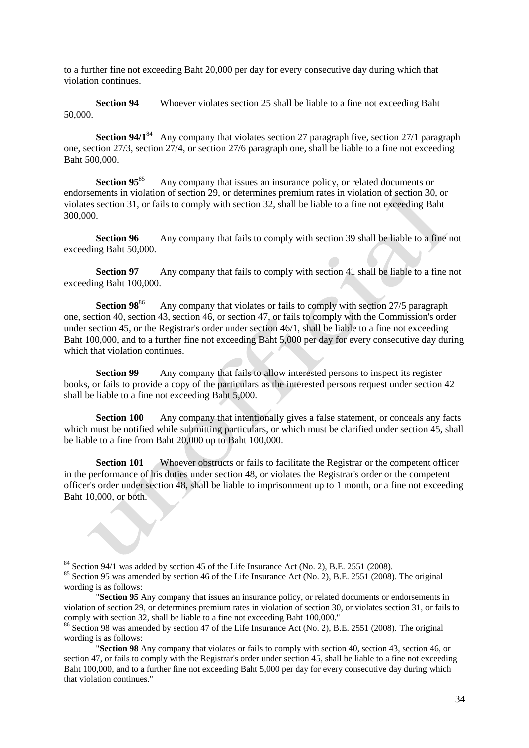to a further fine not exceeding Baht 20,000 per day for every consecutive day during which that violation continues.

**Section 94** Whoever violates section 25 shall be liable to a fine not exceeding Baht 50,000.

**Section 94/1**<sup>84</sup> Any company that violates section 27 paragraph five, section 27/1 paragraph one, section 27/3, section 27/4, or section 27/6 paragraph one, shall be liable to a fine not exceeding Baht 500,000.

**Section 95**<sup>85</sup> Any company that issues an insurance policy, or related documents or endorsements in violation of section 29, or determines premium rates in violation of section 30, or violates section 31, or fails to comply with section 32, shall be liable to a fine not exceeding Baht 300,000.

**Section 96** Any company that fails to comply with section 39 shall be liable to a fine not exceeding Baht 50,000.

**Section 97** Any company that fails to comply with section 41 shall be liable to a fine not exceeding Baht 100,000.

**Section 98**<sup>86</sup> Any company that violates or fails to comply with section 27/5 paragraph one, section 40, section 43, section 46, or section 47, or fails to comply with the Commission's order under section 45, or the Registrar's order under section 46/1, shall be liable to a fine not exceeding Baht 100,000, and to a further fine not exceeding Baht 5,000 per day for every consecutive day during which that violation continues.

**Section 99** Any company that fails to allow interested persons to inspect its register books, or fails to provide a copy of the particulars as the interested persons request under section 42 shall be liable to a fine not exceeding Baht 5,000.

**Section 100** Any company that intentionally gives a false statement, or conceals any facts which must be notified while submitting particulars, or which must be clarified under section 45, shall be liable to a fine from Baht 20,000 up to Baht 100,000.

**Section 101** Whoever obstructs or fails to facilitate the Registrar or the competent officer in the performance of his duties under section 48, or violates the Registrar's order or the competent officer's order under section 48, shall be liable to imprisonment up to 1 month, or a fine not exceeding Baht 10,000, or both.

 $84$  Section 94/1 was added by section 45 of the Life Insurance Act (No. 2), B.E. 2551 (2008).

<sup>&</sup>lt;sup>85</sup> Section 95 was amended by section 46 of the Life Insurance Act (No. 2), B.E. 2551 (2008). The original wording is as follows:

<sup>&</sup>quot;**Section 95** Any company that issues an insurance policy, or related documents or endorsements in violation of section 29, or determines premium rates in violation of section 30, or violates section 31, or fails to comply with section 32, shall be liable to a fine not exceeding Baht 100,000."

<sup>&</sup>lt;sup>86</sup> Section 98 was amended by section 47 of the Life Insurance Act (No. 2), B.E. 2551 (2008). The original wording is as follows:

<sup>&</sup>quot;**Section 98** Any company that violates or fails to comply with section 40, section 43, section 46, or section 47, or fails to comply with the Registrar's order under section 45, shall be liable to a fine not exceeding Baht 100,000, and to a further fine not exceeding Baht 5,000 per day for every consecutive day during which that violation continues."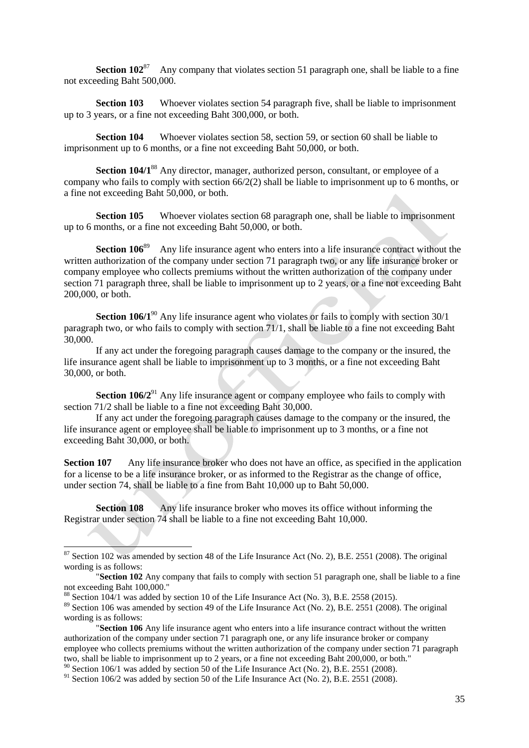**Section 102**<sup>87</sup> Any company that violates section 51 paragraph one, shall be liable to a fine not exceeding Baht 500,000.

**Section 103** Whoever violates section 54 paragraph five, shall be liable to imprisonment up to 3 years, or a fine not exceeding Baht 300,000, or both.

**Section 104** Whoever violates section 58, section 59, or section 60 shall be liable to imprisonment up to 6 months, or a fine not exceeding Baht 50,000, or both.

**Section 104/1**<sup>88</sup> Any director, manager, authorized person, consultant, or employee of a company who fails to comply with section 66/2(2) shall be liable to imprisonment up to 6 months, or a fine not exceeding Baht 50,000, or both.

**Section 105** Whoever violates section 68 paragraph one, shall be liable to imprisonment up to 6 months, or a fine not exceeding Baht 50,000, or both.

**Section 106<sup>89</sup>** Any life insurance agent who enters into a life insurance contract without the written authorization of the company under section 71 paragraph two, or any life insurance broker or company employee who collects premiums without the written authorization of the company under section 71 paragraph three, shall be liable to imprisonment up to 2 years, or a fine not exceeding Baht 200,000, or both.

**Section 106/1<sup>90</sup>** Any life insurance agent who violates or fails to comply with section 30/1 paragraph two, or who fails to comply with section 71/1, shall be liable to a fine not exceeding Baht 30,000.

If any act under the foregoing paragraph causes damage to the company or the insured, the life insurance agent shall be liable to imprisonment up to 3 months, or a fine not exceeding Baht 30,000, or both.

**Section 106/2<sup>91</sup>** Any life insurance agent or company employee who fails to comply with section 71/2 shall be liable to a fine not exceeding Baht 30,000.

If any act under the foregoing paragraph causes damage to the company or the insured, the life insurance agent or employee shall be liable to imprisonment up to 3 months, or a fine not exceeding Baht 30,000, or both.

**Section 107** Any life insurance broker who does not have an office, as specified in the application for a license to be a life insurance broker, or as informed to the Registrar as the change of office, under section 74, shall be liable to a fine from Baht 10,000 up to Baht 50,000.

**Section 108** Any life insurance broker who moves its office without informing the Registrar under section 74 shall be liable to a fine not exceeding Baht 10,000.

 $87$  Section 102 was amended by section 48 of the Life Insurance Act (No. 2), B.E. 2551 (2008). The original wording is as follows:

<sup>&</sup>quot;**Section 102** Any company that fails to comply with section 51 paragraph one, shall be liable to a fine not exceeding Baht 100,000."

 $88$  Section 104/1 was added by section 10 of the Life Insurance Act (No. 3), B.E. 2558 (2015).

<sup>&</sup>lt;sup>89</sup> Section 106 was amended by section 49 of the Life Insurance Act (No. 2), B.E. 2551 (2008). The original wording is as follows:

<sup>&</sup>quot;**Section 106** Any life insurance agent who enters into a life insurance contract without the written authorization of the company under section 71 paragraph one, or any life insurance broker or company employee who collects premiums without the written authorization of the company under section 71 paragraph two, shall be liable to imprisonment up to 2 years, or a fine not exceeding Baht 200,000, or both."

<sup>&</sup>lt;sup>90</sup> Section 106/1 was added by section 50 of the Life Insurance Act (No. 2), B.E. 2551 (2008).

 $91$  Section 106/2 was added by section 50 of the Life Insurance Act (No. 2), B.E. 2551 (2008).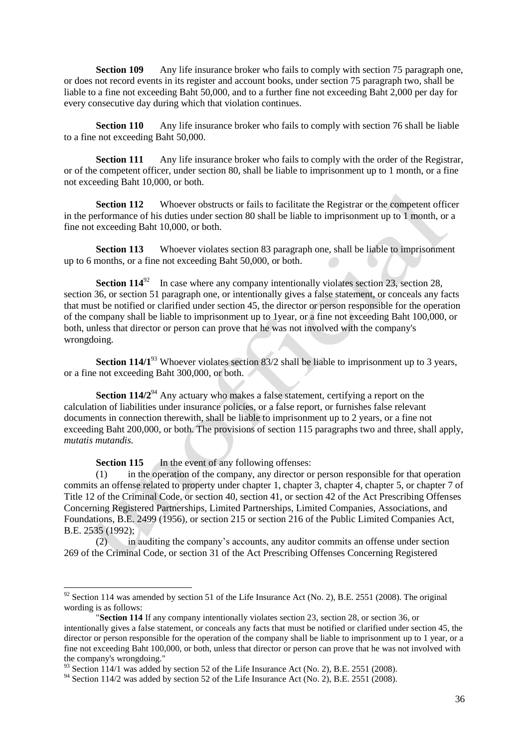**Section 109** Any life insurance broker who fails to comply with section 75 paragraph one, or does not record events in its register and account books, under section 75 paragraph two, shall be liable to a fine not exceeding Baht 50,000, and to a further fine not exceeding Baht 2,000 per day for every consecutive day during which that violation continues.

**Section 110** Any life insurance broker who fails to comply with section 76 shall be liable to a fine not exceeding Baht 50,000.

**Section 111** Any life insurance broker who fails to comply with the order of the Registrar, or of the competent officer, under section 80, shall be liable to imprisonment up to 1 month, or a fine not exceeding Baht 10,000, or both.

**Section 112** Whoever obstructs or fails to facilitate the Registrar or the competent officer in the performance of his duties under section 80 shall be liable to imprisonment up to 1 month, or a fine not exceeding Baht 10,000, or both.

**Section 113** Whoever violates section 83 paragraph one, shall be liable to imprisonment up to 6 months, or a fine not exceeding Baht 50,000, or both.

**Section 114**<sup>92</sup> In case where any company intentionally violates section 23, section 28, section 36, or section 51 paragraph one, or intentionally gives a false statement, or conceals any facts that must be notified or clarified under section 45, the director or person responsible for the operation of the company shall be liable to imprisonment up to 1year, or a fine not exceeding Baht 100,000, or both, unless that director or person can prove that he was not involved with the company's wrongdoing.

**Section 114/1**<sup>93</sup> Whoever violates section 83/2 shall be liable to imprisonment up to 3 years, or a fine not exceeding Baht 300,000, or both.

**Section 114/2**<sup>94</sup> Any actuary who makes a false statement, certifying a report on the calculation of liabilities under insurance policies, or a false report, or furnishes false relevant documents in connection therewith, shall be liable to imprisonment up to 2 years, or a fine not exceeding Baht 200,000, or both. The provisions of section 115 paragraphs two and three, shall apply, *mutatis mutandis.*

**Section 115** In the event of any following offenses:

1

(1) in the operation of the company, any director or person responsible for that operation commits an offense related to property under chapter 1, chapter 3, chapter 4, chapter 5, or chapter 7 of Title 12 of the Criminal Code, or section 40, section 41, or section 42 of the Act Prescribing Offenses Concerning Registered Partnerships, Limited Partnerships, Limited Companies, Associations, and Foundations, B.E. 2499 (1956), or section 215 or section 216 of the Public Limited Companies Act, B.E. 2535 (1992);

(2) in auditing the company's accounts, any auditor commits an offense under section 269 of the Criminal Code, or section 31 of the Act Prescribing Offenses Concerning Registered

 $92$  Section 114 was amended by section 51 of the Life Insurance Act (No. 2), B.E. 2551 (2008). The original wording is as follows:

<sup>&</sup>quot;**Section 114** If any company intentionally violates section 23, section 28, or section 36, or intentionally gives a false statement, or conceals any facts that must be notified or clarified under section 45, the director or person responsible for the operation of the company shall be liable to imprisonment up to 1 year, or a fine not exceeding Baht 100,000, or both, unless that director or person can prove that he was not involved with the company's wrongdoing."

 $^{93}$  Section 114/1 was added by section 52 of the Life Insurance Act (No. 2), B.E. 2551 (2008).

<sup>&</sup>lt;sup>94</sup> Section 114/2 was added by section 52 of the Life Insurance Act (No. 2), B.E. 2551 (2008).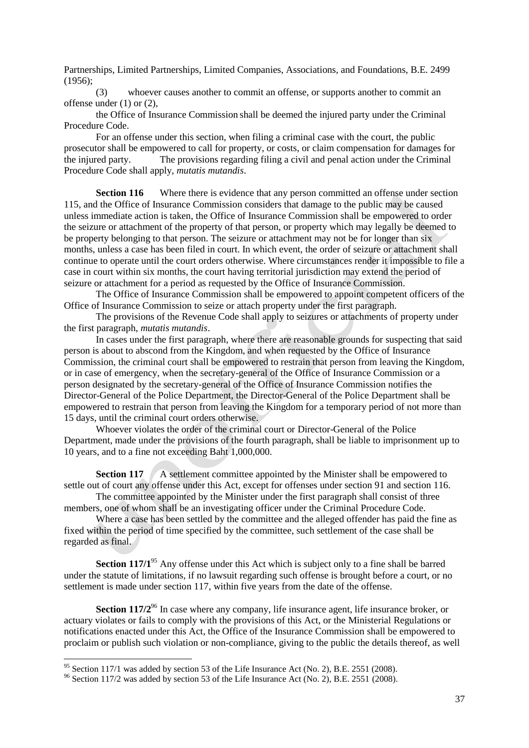Partnerships, Limited Partnerships, Limited Companies, Associations, and Foundations, B.E. 2499 (1956);

(3) whoever causes another to commit an offense, or supports another to commit an offense under (1) or (2),

the Office of Insurance Commission shall be deemed the injured party under the Criminal Procedure Code.

For an offense under this section, when filing a criminal case with the court, the public prosecutor shall be empowered to call for property, or costs, or claim compensation for damages for the injured party. The provisions regarding filing a civil and penal action under the Criminal Procedure Code shall apply, *mutatis mutandis*.

**Section 116** Where there is evidence that any person committed an offense under section 115, and the Office of Insurance Commission considers that damage to the public may be caused unless immediate action is taken, the Office of Insurance Commission shall be empowered to order the seizure or attachment of the property of that person, or property which may legally be deemed to be property belonging to that person. The seizure or attachment may not be for longer than six months, unless a case has been filed in court. In which event, the order of seizure or attachment shall continue to operate until the court orders otherwise. Where circumstances render it impossible to file a case in court within six months, the court having territorial jurisdiction may extend the period of seizure or attachment for a period as requested by the Office of Insurance Commission.

The Office of Insurance Commission shall be empowered to appoint competent officers of the Office of Insurance Commission to seize or attach property under the first paragraph.

The provisions of the Revenue Code shall apply to seizures or attachments of property under the first paragraph, *mutatis mutandis*.

In cases under the first paragraph, where there are reasonable grounds for suspecting that said person is about to abscond from the Kingdom, and when requested by the Office of Insurance Commission, the criminal court shall be empowered to restrain that person from leaving the Kingdom, or in case of emergency, when the secretary-general of the Office of Insurance Commission or a person designated by the secretary-general of the Office of Insurance Commission notifies the Director-General of the Police Department, the Director-General of the Police Department shall be empowered to restrain that person from leaving the Kingdom for a temporary period of not more than 15 days, until the criminal court orders otherwise.

Whoever violates the order of the criminal court or Director-General of the Police Department, made under the provisions of the fourth paragraph, shall be liable to imprisonment up to 10 years, and to a fine not exceeding Baht 1,000,000.

**Section 117** A settlement committee appointed by the Minister shall be empowered to settle out of court any offense under this Act, except for offenses under section 91 and section 116.

The committee appointed by the Minister under the first paragraph shall consist of three members, one of whom shall be an investigating officer under the Criminal Procedure Code.

Where a case has been settled by the committee and the alleged offender has paid the fine as fixed within the period of time specified by the committee, such settlement of the case shall be regarded as final.

**Section 117/1**<sup>95</sup> Any offense under this Act which is subject only to a fine shall be barred under the statute of limitations, if no lawsuit regarding such offense is brought before a court, or no settlement is made under section 117, within five years from the date of the offense.

**Section 117/2<sup>96</sup>** In case where any company, life insurance agent, life insurance broker, or actuary violates or fails to comply with the provisions of this Act, or the Ministerial Regulations or notifications enacted under this Act, the Office of the Insurance Commission shall be empowered to proclaim or publish such violation or non-compliance, giving to the public the details thereof, as well

 $95$  Section 117/1 was added by section 53 of the Life Insurance Act (No. 2), B.E. 2551 (2008).

<sup>&</sup>lt;sup>96</sup> Section 117/2 was added by section 53 of the Life Insurance Act (No. 2), B.E. 2551 (2008).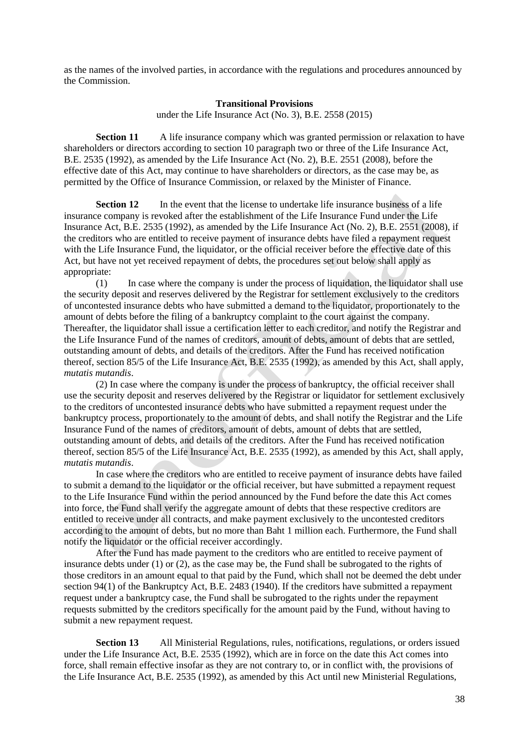as the names of the involved parties, in accordance with the regulations and procedures announced by the Commission.

#### **Transitional Provisions**

under the Life Insurance Act (No. 3), B.E. 2558 (2015)

**Section 11** A life insurance company which was granted permission or relaxation to have shareholders or directors according to section 10 paragraph two or three of the Life Insurance Act, B.E. 2535 (1992), as amended by the Life Insurance Act (No. 2), B.E. 2551 (2008), before the effective date of this Act, may continue to have shareholders or directors, as the case may be, as permitted by the Office of Insurance Commission, or relaxed by the Minister of Finance.

**Section 12** In the event that the license to undertake life insurance business of a life insurance company is revoked after the establishment of the Life Insurance Fund under the Life Insurance Act, B.E. 2535 (1992), as amended by the Life Insurance Act (No. 2), B.E. 2551 (2008), if the creditors who are entitled to receive payment of insurance debts have filed a repayment request with the Life Insurance Fund, the liquidator, or the official receiver before the effective date of this Act, but have not yet received repayment of debts, the procedures set out below shall apply as appropriate:

(1) In case where the company is under the process of liquidation, the liquidator shall use the security deposit and reserves delivered by the Registrar for settlement exclusively to the creditors of uncontested insurance debts who have submitted a demand to the liquidator, proportionately to the amount of debts before the filing of a bankruptcy complaint to the court against the company. Thereafter, the liquidator shall issue a certification letter to each creditor, and notify the Registrar and the Life Insurance Fund of the names of creditors, amount of debts, amount of debts that are settled, outstanding amount of debts, and details of the creditors. After the Fund has received notification thereof, section 85/5 of the Life Insurance Act, B.E. 2535 (1992), as amended by this Act, shall apply, *mutatis mutandis*.

(2) In case where the company is under the process of bankruptcy, the official receiver shall use the security deposit and reserves delivered by the Registrar or liquidator for settlement exclusively to the creditors of uncontested insurance debts who have submitted a repayment request under the bankruptcy process, proportionately to the amount of debts, and shall notify the Registrar and the Life Insurance Fund of the names of creditors, amount of debts, amount of debts that are settled, outstanding amount of debts, and details of the creditors. After the Fund has received notification thereof, section 85/5 of the Life Insurance Act, B.E. 2535 (1992), as amended by this Act, shall apply, *mutatis mutandis*.

In case where the creditors who are entitled to receive payment of insurance debts have failed to submit a demand to the liquidator or the official receiver, but have submitted a repayment request to the Life Insurance Fund within the period announced by the Fund before the date this Act comes into force, the Fund shall verify the aggregate amount of debts that these respective creditors are entitled to receive under all contracts, and make payment exclusively to the uncontested creditors according to the amount of debts, but no more than Baht 1 million each. Furthermore, the Fund shall notify the liquidator or the official receiver accordingly.

After the Fund has made payment to the creditors who are entitled to receive payment of insurance debts under  $(1)$  or  $(2)$ , as the case may be, the Fund shall be subrogated to the rights of those creditors in an amount equal to that paid by the Fund, which shall not be deemed the debt under section 94(1) of the Bankruptcy Act, B.E. 2483 (1940). If the creditors have submitted a repayment request under a bankruptcy case, the Fund shall be subrogated to the rights under the repayment requests submitted by the creditors specifically for the amount paid by the Fund, without having to submit a new repayment request.

**Section 13** All Ministerial Regulations, rules, notifications, regulations, or orders issued under the Life Insurance Act, B.E. 2535 (1992), which are in force on the date this Act comes into force, shall remain effective insofar as they are not contrary to, or in conflict with, the provisions of the Life Insurance Act, B.E. 2535 (1992), as amended by this Act until new Ministerial Regulations,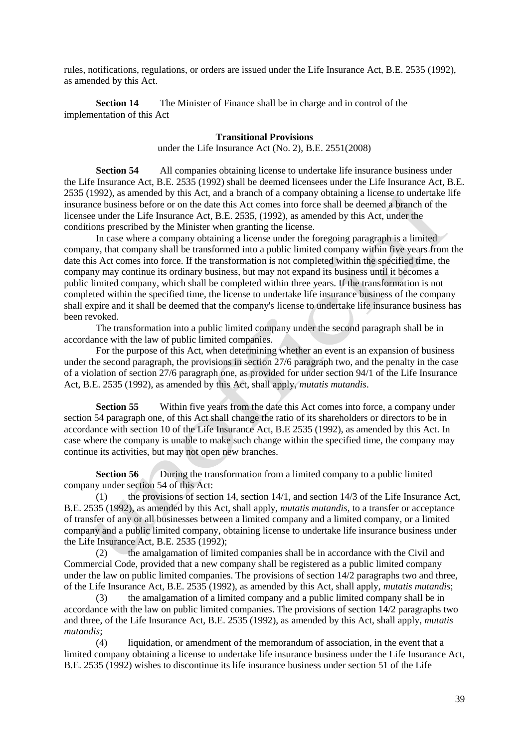rules, notifications, regulations, or orders are issued under the Life Insurance Act, B.E. 2535 (1992), as amended by this Act.

**Section 14** The Minister of Finance shall be in charge and in control of the implementation of this Act

#### **Transitional Provisions**

under the Life Insurance Act (No. 2), B.E. 2551(2008)

**Section 54** All companies obtaining license to undertake life insurance business under the Life Insurance Act, B.E. 2535 (1992) shall be deemed licensees under the Life Insurance Act, B.E. 2535 (1992), as amended by this Act, and a branch of a company obtaining a license to undertake life insurance business before or on the date this Act comes into force shall be deemed a branch of the licensee under the Life Insurance Act, B.E. 2535, (1992), as amended by this Act, under the conditions prescribed by the Minister when granting the license.

In case where a company obtaining a license under the foregoing paragraph is a limited company, that company shall be transformed into a public limited company within five years from the date this Act comes into force. If the transformation is not completed within the specified time, the company may continue its ordinary business, but may not expand its business until it becomes a public limited company, which shall be completed within three years. If the transformation is not completed within the specified time, the license to undertake life insurance business of the company shall expire and it shall be deemed that the company's license to undertake life insurance business has been revoked.

The transformation into a public limited company under the second paragraph shall be in accordance with the law of public limited companies.

For the purpose of this Act, when determining whether an event is an expansion of business under the second paragraph, the provisions in section 27/6 paragraph two, and the penalty in the case of a violation of section 27/6 paragraph one, as provided for under section 94/1 of the Life Insurance Act, B.E. 2535 (1992), as amended by this Act, shall apply, *mutatis mutandis*.

**Section 55** Within five years from the date this Act comes into force, a company under section 54 paragraph one, of this Act shall change the ratio of its shareholders or directors to be in accordance with section 10 of the Life Insurance Act, B.E 2535 (1992), as amended by this Act. In case where the company is unable to make such change within the specified time, the company may continue its activities, but may not open new branches.

**Section 56** During the transformation from a limited company to a public limited company under section 54 of this Act:

(1) the provisions of section 14, section 14/1, and section 14/3 of the Life Insurance Act, B.E. 2535 (1992), as amended by this Act, shall apply, *mutatis mutandis*, to a transfer or acceptance of transfer of any or all businesses between a limited company and a limited company, or a limited company and a public limited company, obtaining license to undertake life insurance business under the Life Insurance Act, B.E. 2535 (1992);

(2) the amalgamation of limited companies shall be in accordance with the Civil and Commercial Code, provided that a new company shall be registered as a public limited company under the law on public limited companies. The provisions of section 14/2 paragraphs two and three, of the Life Insurance Act, B.E. 2535 (1992), as amended by this Act, shall apply, *mutatis mutandis*;

(3) the amalgamation of a limited company and a public limited company shall be in accordance with the law on public limited companies. The provisions of section 14/2 paragraphs two and three, of the Life Insurance Act, B.E. 2535 (1992), as amended by this Act, shall apply, *mutatis mutandis*;

(4) liquidation, or amendment of the memorandum of association, in the event that a limited company obtaining a license to undertake life insurance business under the Life Insurance Act, B.E. 2535 (1992) wishes to discontinue its life insurance business under section 51 of the Life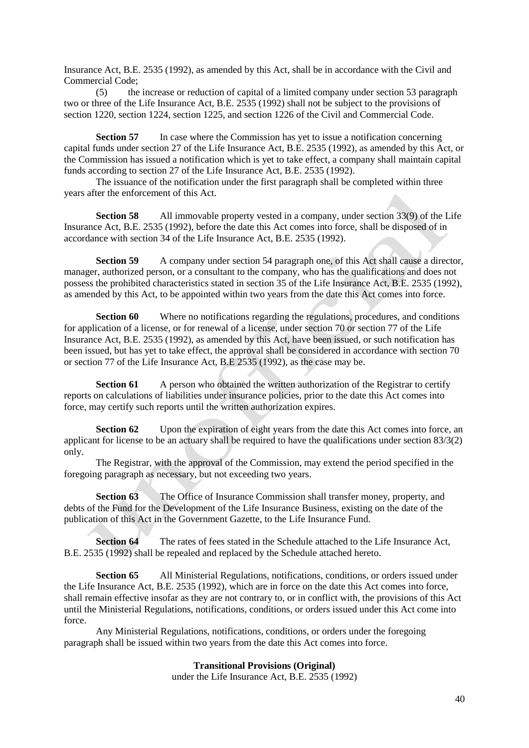Insurance Act, B.E. 2535 (1992), as amended by this Act, shall be in accordance with the Civil and Commercial Code;

(5) the increase or reduction of capital of a limited company under section 53 paragraph two or three of the Life Insurance Act, B.E. 2535 (1992) shall not be subject to the provisions of section 1220, section 1224, section 1225, and section 1226 of the Civil and Commercial Code.

**Section 57** In case where the Commission has yet to issue a notification concerning capital funds under section 27 of the Life Insurance Act, B.E. 2535 (1992), as amended by this Act, or the Commission has issued a notification which is yet to take effect, a company shall maintain capital funds according to section 27 of the Life Insurance Act, B.E. 2535 (1992).

The issuance of the notification under the first paragraph shall be completed within three years after the enforcement of this Act.

**Section 58** All immovable property vested in a company, under section 33(9) of the Life Insurance Act, B.E. 2535 (1992), before the date this Act comes into force, shall be disposed of in accordance with section 34 of the Life Insurance Act, B.E. 2535 (1992).

**Section 59** A company under section 54 paragraph one, of this Act shall cause a director, manager, authorized person, or a consultant to the company, who has the qualifications and does not possess the prohibited characteristics stated in section 35 of the Life Insurance Act, B.E. 2535 (1992), as amended by this Act, to be appointed within two years from the date this Act comes into force.

**Section 60** Where no notifications regarding the regulations, procedures, and conditions for application of a license, or for renewal of a license, under section 70 or section 77 of the Life Insurance Act, B.E. 2535 (1992), as amended by this Act, have been issued, or such notification has been issued, but has yet to take effect, the approval shall be considered in accordance with section 70 or section 77 of the Life Insurance Act, B.E 2535 (1992), as the case may be.

**Section 61** A person who obtained the written authorization of the Registrar to certify reports on calculations of liabilities under insurance policies, prior to the date this Act comes into force, may certify such reports until the written authorization expires.

**Section 62** Upon the expiration of eight years from the date this Act comes into force, an applicant for license to be an actuary shall be required to have the qualifications under section 83/3(2) only.

The Registrar, with the approval of the Commission, may extend the period specified in the foregoing paragraph as necessary, but not exceeding two years.

**Section 63** The Office of Insurance Commission shall transfer money, property, and debts of the Fund for the Development of the Life Insurance Business, existing on the date of the publication of this Act in the Government Gazette, to the Life Insurance Fund.

**Section 64** The rates of fees stated in the Schedule attached to the Life Insurance Act, B.E. 2535 (1992) shall be repealed and replaced by the Schedule attached hereto.

**Section 65** All Ministerial Regulations, notifications, conditions, or orders issued under the Life Insurance Act, B.E. 2535 (1992), which are in force on the date this Act comes into force, shall remain effective insofar as they are not contrary to, or in conflict with, the provisions of this Act until the Ministerial Regulations, notifications, conditions, or orders issued under this Act come into force.

Any Ministerial Regulations, notifications, conditions, or orders under the foregoing paragraph shall be issued within two years from the date this Act comes into force.

### **Transitional Provisions (Original)**

under the Life Insurance Act, B.E. 2535 (1992)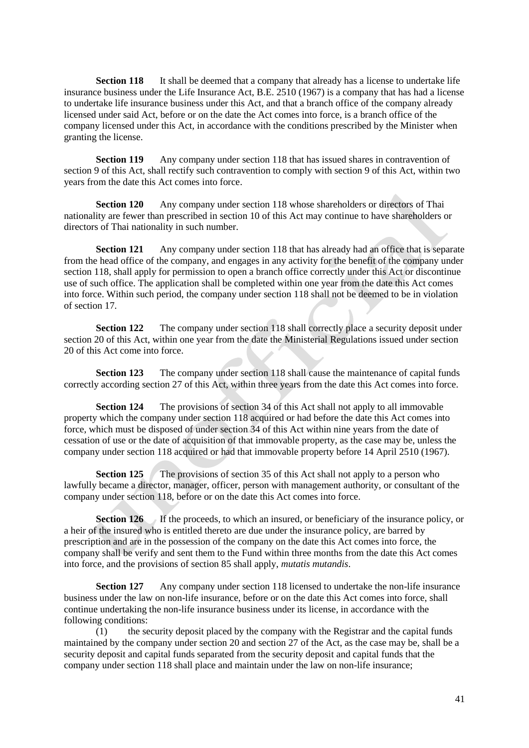**Section 118** It shall be deemed that a company that already has a license to undertake life insurance business under the Life Insurance Act, B.E. 2510 (1967) is a company that has had a license to undertake life insurance business under this Act, and that a branch office of the company already licensed under said Act, before or on the date the Act comes into force, is a branch office of the company licensed under this Act, in accordance with the conditions prescribed by the Minister when granting the license.

**Section 119** Any company under section 118 that has issued shares in contravention of section 9 of this Act, shall rectify such contravention to comply with section 9 of this Act, within two years from the date this Act comes into force.

**Section 120** Any company under section 118 whose shareholders or directors of Thai nationality are fewer than prescribed in section 10 of this Act may continue to have shareholders or directors of Thai nationality in such number.

**Section 121** Any company under section 118 that has already had an office that is separate from the head office of the company, and engages in any activity for the benefit of the company under section 118, shall apply for permission to open a branch office correctly under this Act or discontinue use of such office. The application shall be completed within one year from the date this Act comes into force. Within such period, the company under section 118 shall not be deemed to be in violation of section 17.

**Section 122** The company under section 118 shall correctly place a security deposit under section 20 of this Act, within one year from the date the Ministerial Regulations issued under section 20 of this Act come into force.

**Section 123** The company under section 118 shall cause the maintenance of capital funds correctly according section 27 of this Act, within three years from the date this Act comes into force.

**Section 124** The provisions of section 34 of this Act shall not apply to all immovable property which the company under section 118 acquired or had before the date this Act comes into force, which must be disposed of under section 34 of this Act within nine years from the date of cessation of use or the date of acquisition of that immovable property, as the case may be, unless the company under section 118 acquired or had that immovable property before 14 April 2510 (1967).

**Section 125** The provisions of section 35 of this Act shall not apply to a person who lawfully became a director, manager, officer, person with management authority, or consultant of the company under section 118, before or on the date this Act comes into force.

**Section 126** If the proceeds, to which an insured, or beneficiary of the insurance policy, or a heir of the insured who is entitled thereto are due under the insurance policy, are barred by prescription and are in the possession of the company on the date this Act comes into force, the company shall be verify and sent them to the Fund within three months from the date this Act comes into force, and the provisions of section 85 shall apply, *mutatis mutandis*.

**Section 127** Any company under section 118 licensed to undertake the non-life insurance business under the law on non-life insurance, before or on the date this Act comes into force, shall continue undertaking the non-life insurance business under its license, in accordance with the following conditions:

(1) the security deposit placed by the company with the Registrar and the capital funds maintained by the company under section 20 and section 27 of the Act, as the case may be, shall be a security deposit and capital funds separated from the security deposit and capital funds that the company under section 118 shall place and maintain under the law on non-life insurance;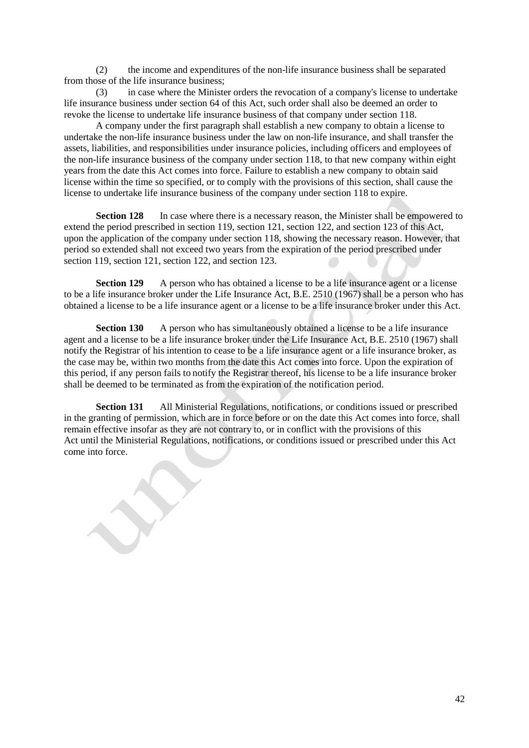(2) the income and expenditures of the non-life insurance business shall be separated from those of the life insurance business;

(3) in case where the Minister orders the revocation of a company's license to undertake life insurance business under section 64 of this Act, such order shall also be deemed an order to revoke the license to undertake life insurance business of that company under section 118.

A company under the first paragraph shall establish a new company to obtain a license to undertake the non-life insurance business under the law on non-life insurance, and shall transfer the assets, liabilities, and responsibilities under insurance policies, including officers and employees of the non-life insurance business of the company under section 118, to that new company within eight years from the date this Act comes into force. Failure to establish a new company to obtain said license within the time so specified, or to comply with the provisions of this section, shall cause the license to undertake life insurance business of the company under section 118 to expire.

**Section 128** In case where there is a necessary reason, the Minister shall be empowered to extend the period prescribed in section 119, section 121, section 122, and section 123 of this Act, upon the application of the company under section 118, showing the necessary reason. However, that period so extended shall not exceed two years from the expiration of the period prescribed under section 119, section 121, section 122, and section 123.

**Section 129** A person who has obtained a license to be a life insurance agent or a license to be a life insurance broker under the Life Insurance Act, B.E. 2510 (1967) shall be a person who has obtained a license to be a life insurance agent or a license to be a life insurance broker under this Act.

**Section 130** A person who has simultaneously obtained a license to be a life insurance agent and a license to be a life insurance broker under the Life Insurance Act, B.E. 2510 (1967) shall notify the Registrar of his intention to cease to be a life insurance agent or a life insurance broker, as the case may be, within two months from the date this Act comes into force. Upon the expiration of this period, if any person fails to notify the Registrar thereof, his license to be a life insurance broker shall be deemed to be terminated as from the expiration of the notification period.

**Section 131** All Ministerial Regulations, notifications, or conditions issued or prescribed in the granting of permission, which are in force before or on the date this Act comes into force, shall remain effective insofar as they are not contrary to, or in conflict with the provisions of this Act until the Ministerial Regulations, notifications, or conditions issued or prescribed under this Act come into force.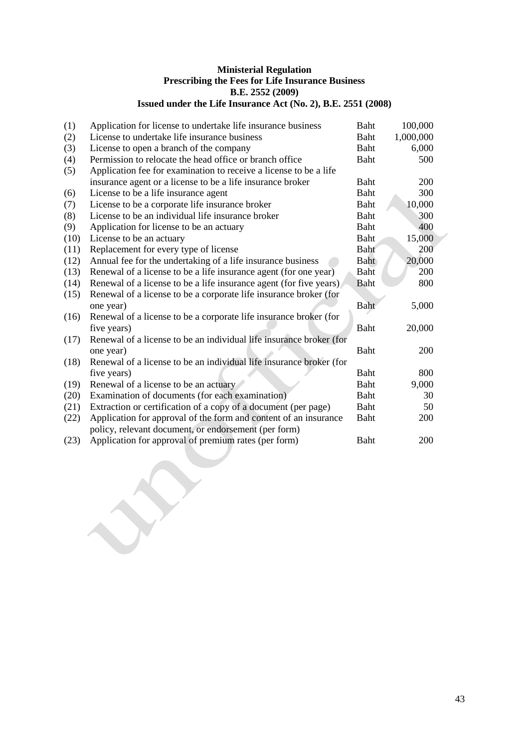### **Ministerial Regulation Prescribing the Fees for Life Insurance Business B.E. 2552 (2009) Issued under the Life Insurance Act (No. 2), B.E. 2551 (2008)**

| (1)  |                                                                                                              | Baht        | 100,000    |
|------|--------------------------------------------------------------------------------------------------------------|-------------|------------|
|      | Application for license to undertake life insurance business<br>License to undertake life insurance business |             |            |
| (2)  |                                                                                                              | Baht        | 1,000,000  |
| (3)  | License to open a branch of the company                                                                      | <b>Baht</b> | 6,000      |
| (4)  | Permission to relocate the head office or branch office                                                      | Baht        | 500        |
| (5)  | Application fee for examination to receive a license to be a life                                            |             |            |
|      | insurance agent or a license to be a life insurance broker                                                   | Baht        | 200        |
| (6)  | License to be a life insurance agent                                                                         | <b>Baht</b> | 300        |
| (7)  | License to be a corporate life insurance broker                                                              | <b>Baht</b> | 10,000     |
| (8)  | License to be an individual life insurance broker                                                            | <b>Baht</b> | 300        |
| (9)  | Application for license to be an actuary                                                                     | <b>Baht</b> | 400        |
| (10) | License to be an actuary                                                                                     | Baht        | 15,000     |
| (11) | Replacement for every type of license                                                                        | <b>Baht</b> | 200        |
| (12) | Annual fee for the undertaking of a life insurance business                                                  | Baht        | 20,000     |
| (13) | Renewal of a license to be a life insurance agent (for one year)                                             | Baht        | 200        |
| (14) | Renewal of a license to be a life insurance agent (for five years)                                           | Baht        | 800        |
| (15) | Renewal of a license to be a corporate life insurance broker (for                                            |             |            |
|      | one year)                                                                                                    | Baht        | 5,000      |
| (16) | Renewal of a license to be a corporate life insurance broker (for                                            |             |            |
|      | five years)                                                                                                  | Baht        | 20,000     |
| (17) | Renewal of a license to be an individual life insurance broker (for                                          |             |            |
|      | one year)                                                                                                    | Baht        | <b>200</b> |
| (18) | Renewal of a license to be an individual life insurance broker (for                                          |             |            |
|      | five years)                                                                                                  | Baht        | 800        |
| (19) | Renewal of a license to be an actuary                                                                        | Baht        | 9,000      |
| (20) | Examination of documents (for each examination)                                                              | Baht        | 30         |
| (21) | Extraction or certification of a copy of a document (per page)                                               | Baht        | 50         |
| (22) | Application for approval of the form and content of an insurance                                             | <b>Baht</b> | 200        |
|      | policy, relevant document, or endorsement (per form)                                                         |             |            |
| (23) | Application for approval of premium rates (per form)                                                         | Baht        | 200        |
|      |                                                                                                              |             |            |

Y

SS

 $\overline{\phantom{a}}$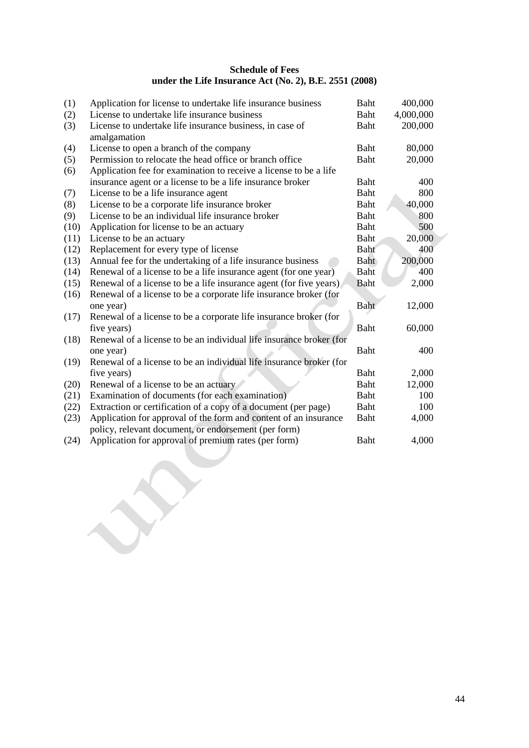### **Schedule of Fees under the Life Insurance Act (No. 2), B.E. 2551 (2008)**

| (1)  | Application for license to undertake life insurance business             | <b>Baht</b> | 400,000   |
|------|--------------------------------------------------------------------------|-------------|-----------|
| (2)  | License to undertake life insurance business                             | Baht        | 4,000,000 |
| (3)  | License to undertake life insurance business, in case of<br>amalgamation | Baht        | 200,000   |
| (4)  | License to open a branch of the company                                  | Baht        | 80,000    |
| (5)  | Permission to relocate the head office or branch office                  | Baht        | 20,000    |
| (6)  | Application fee for examination to receive a license to be a life        |             |           |
|      | insurance agent or a license to be a life insurance broker               | Baht        | 400       |
| (7)  | License to be a life insurance agent                                     | Baht        | 800       |
| (8)  | License to be a corporate life insurance broker                          | Baht        | 40,000    |
| (9)  | License to be an individual life insurance broker                        | Baht        | 800       |
| (10) | Application for license to be an actuary                                 | Baht        | 500       |
| (11) | License to be an actuary                                                 | Baht        | 20,000    |
| (12) | Replacement for every type of license                                    | Baht        | 400       |
| (13) | Annual fee for the undertaking of a life insurance business              | Baht        | 200,000   |
| (14) | Renewal of a license to be a life insurance agent (for one year)         | Baht        | 400       |
| (15) | Renewal of a license to be a life insurance agent (for five years)       | <b>Baht</b> | 2,000     |
| (16) | Renewal of a license to be a corporate life insurance broker (for        |             |           |
|      | one year)                                                                | Baht        | 12,000    |
| (17) | Renewal of a license to be a corporate life insurance broker (for        |             |           |
|      | five years)                                                              | Baht        | 60,000    |
| (18) | Renewal of a license to be an individual life insurance broker (for      |             |           |
|      | one year)                                                                | Baht        | 400       |
| (19) | Renewal of a license to be an individual life insurance broker (for      |             |           |
|      | five years)                                                              | Baht        | 2,000     |
| (20) | Renewal of a license to be an actuary                                    | Baht        | 12,000    |
| (21) | Examination of documents (for each examination)                          | Baht        | 100       |
| (22) | Extraction or certification of a copy of a document (per page)           | Baht        | 100       |
| (23) | Application for approval of the form and content of an insurance         | Baht        | 4,000     |
|      | policy, relevant document, or endorsement (per form)                     |             |           |
| (24) | Application for approval of premium rates (per form)                     | Baht        | 4,000     |
|      |                                                                          |             |           |
|      |                                                                          |             |           |
|      |                                                                          |             |           |
|      |                                                                          |             |           |
|      |                                                                          |             |           |
|      |                                                                          |             |           |
|      |                                                                          |             |           |
|      |                                                                          |             |           |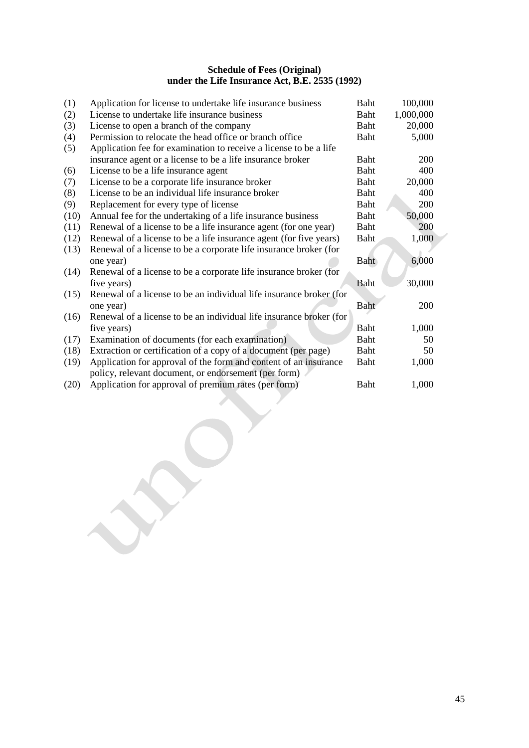### **Schedule of Fees (Original) under the Life Insurance Act, B.E. 2535 (1992)**

| (1)  | Application for license to undertake life insurance business        | <b>Baht</b> | 100,000    |
|------|---------------------------------------------------------------------|-------------|------------|
| (2)  | License to undertake life insurance business                        | Baht        | 1,000,000  |
| (3)  | License to open a branch of the company                             | Baht        | 20,000     |
| (4)  | Permission to relocate the head office or branch office             | <b>Baht</b> | 5,000      |
| (5)  | Application fee for examination to receive a license to be a life   |             |            |
|      | insurance agent or a license to be a life insurance broker          | <b>Baht</b> | 200        |
| (6)  | License to be a life insurance agent                                | Baht        | 400        |
| (7)  | License to be a corporate life insurance broker                     | Baht        | 20,000     |
| (8)  | License to be an individual life insurance broker                   | <b>Baht</b> | 400        |
| (9)  | Replacement for every type of license                               | <b>Baht</b> | 200        |
| (10) | Annual fee for the undertaking of a life insurance business         | <b>Baht</b> | 50,000     |
| (11) | Renewal of a license to be a life insurance agent (for one year)    | <b>Baht</b> | 200        |
| (12) | Renewal of a license to be a life insurance agent (for five years)  | Baht        | 1,000      |
| (13) | Renewal of a license to be a corporate life insurance broker (for   |             |            |
|      | one year)                                                           | Baht        | 6,000      |
| (14) | Renewal of a license to be a corporate life insurance broker (for   |             |            |
|      | five years)                                                         | Baht        | 30,000     |
| (15) | Renewal of a license to be an individual life insurance broker (for |             |            |
|      | one year)                                                           | Baht        | <b>200</b> |
| (16) | Renewal of a license to be an individual life insurance broker (for |             |            |
|      | five years)                                                         | Baht        | 1,000      |
| (17) | Examination of documents (for each examination)                     | Baht        | 50         |
| (18) | Extraction or certification of a copy of a document (per page)      | Baht        | 50         |
| (19) | Application for approval of the form and content of an insurance    | Baht        | 1,000      |
|      | policy, relevant document, or endorsement (per form)                |             |            |
| (20) | Application for approval of premium rates (per form)                | <b>Baht</b> | 1,000      |